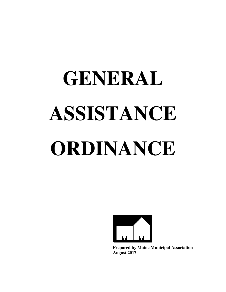# **GENERAL ASSISTANCE ORDINANCE**



**Prepared by Maine Municipal Association August 2017**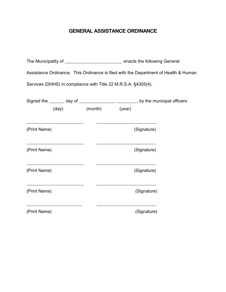# **GENERAL ASSISTANCE ORDINANCE**

| Assistance Ordinance. This Ordinance is filed with the Department of Health & Human             |  |  |                                                             |  |
|-------------------------------------------------------------------------------------------------|--|--|-------------------------------------------------------------|--|
| Services (DHHS) in compliance with Title 22 M.R.S.A. §4305(4).                                  |  |  |                                                             |  |
| Signed the _______ day of ________________, _______, by the municipal officers:                 |  |  |                                                             |  |
| (day) (month) (year)                                                                            |  |  |                                                             |  |
| (Print Name)                                                                                    |  |  | (Signature)                                                 |  |
| the contract of the contract of the contract of the contract of the contract of<br>(Print Name) |  |  | the control of the control of the control of<br>(Signature) |  |
| (Print Name)                                                                                    |  |  | (Signature)                                                 |  |
| (Print Name)                                                                                    |  |  | (Signature)                                                 |  |
| (Print Name)                                                                                    |  |  | (Signature)                                                 |  |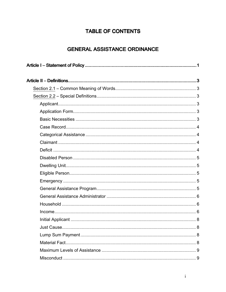# **TABLE OF CONTENTS**

# **GENERAL ASSISTANCE ORDINANCE**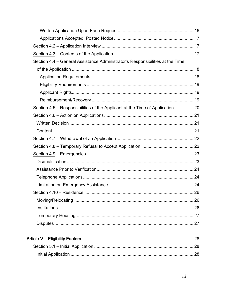| Section 4.4 - General Assistance Administrator's Responsibilities at the Time  |    |
|--------------------------------------------------------------------------------|----|
|                                                                                |    |
|                                                                                |    |
|                                                                                |    |
|                                                                                |    |
|                                                                                |    |
| Section 4.5 – Responsibilities of the Applicant at the Time of Application  20 |    |
|                                                                                |    |
|                                                                                |    |
|                                                                                |    |
|                                                                                |    |
|                                                                                |    |
|                                                                                |    |
|                                                                                |    |
|                                                                                |    |
|                                                                                |    |
|                                                                                |    |
|                                                                                |    |
|                                                                                |    |
|                                                                                |    |
|                                                                                |    |
|                                                                                |    |
|                                                                                |    |
|                                                                                |    |
| Section 5.1 - Initial Application                                              | 28 |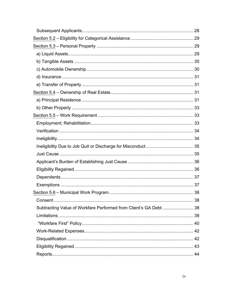| Subtracting Value of Workfare Performed from Client's GA Debt  38 |  |
|-------------------------------------------------------------------|--|
|                                                                   |  |
|                                                                   |  |
|                                                                   |  |
|                                                                   |  |
|                                                                   |  |
|                                                                   |  |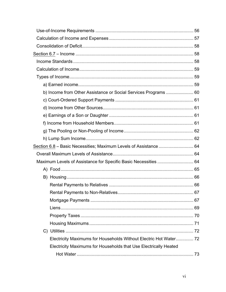| b) Income from Other Assistance or Social Services Programs  60   |  |
|-------------------------------------------------------------------|--|
|                                                                   |  |
|                                                                   |  |
|                                                                   |  |
|                                                                   |  |
|                                                                   |  |
|                                                                   |  |
| Section 6.8 - Basic Necessities; Maximum Levels of Assistance  64 |  |
|                                                                   |  |
|                                                                   |  |
|                                                                   |  |
|                                                                   |  |
|                                                                   |  |
|                                                                   |  |
|                                                                   |  |
|                                                                   |  |
|                                                                   |  |
|                                                                   |  |
|                                                                   |  |
| Electricity Maximums for Households Without Electric Hot Water 72 |  |
| Electricity Maximums for Households that Use Electrically Heated  |  |
|                                                                   |  |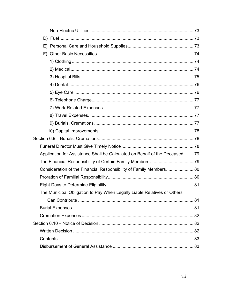| F) |                                                                             |  |
|----|-----------------------------------------------------------------------------|--|
|    |                                                                             |  |
|    |                                                                             |  |
|    |                                                                             |  |
|    |                                                                             |  |
|    |                                                                             |  |
|    |                                                                             |  |
|    |                                                                             |  |
|    |                                                                             |  |
|    |                                                                             |  |
|    |                                                                             |  |
|    |                                                                             |  |
|    |                                                                             |  |
|    | Application for Assistance Shall be Calculated on Behalf of the Deceased 79 |  |
|    |                                                                             |  |
|    | Consideration of the Financial Responsibility of Family Members 80          |  |
|    |                                                                             |  |
|    |                                                                             |  |
|    | The Municipal Obligation to Pay When Legally Liable Relatives or Others     |  |
|    |                                                                             |  |
|    |                                                                             |  |
|    |                                                                             |  |
|    |                                                                             |  |
|    |                                                                             |  |
|    |                                                                             |  |
|    |                                                                             |  |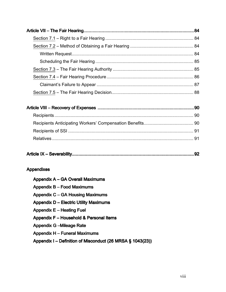|--|

# **Appendixes**

| Appendix A – GA Overall Maximums                           |
|------------------------------------------------------------|
| Appendix B - Food Maximums                                 |
| Appendix C – GA Housing Maximums                           |
| <b>Appendix D – Electric Utility Maximums</b>              |
| Appendix E - Heating Fuel                                  |
| Appendix F – Household & Personal Items                    |
| <b>Appendix G -Mileage Rate</b>                            |
| <b>Appendix H - Funeral Maximums</b>                       |
| Appendix I – Definition of Misconduct (26 MRSA § 1043(23)) |
|                                                            |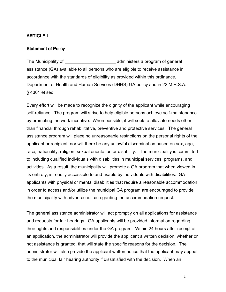#### ARTICLE I

#### **Statement of Policy**

The Municipality of \_\_\_\_\_\_\_\_\_\_\_\_\_\_\_\_\_\_\_\_\_\_\_ administers a program of general assistance (GA) available to all persons who are eligible to receive assistance in accordance with the standards of eligibility as provided within this ordinance, Department of Health and Human Services (DHHS) GA policy and in 22 M.R.S.A. § 4301 et seq.

Every effort will be made to recognize the dignity of the applicant while encouraging self-reliance. The program will strive to help eligible persons achieve self-maintenance by promoting the work incentive. When possible, it will seek to alleviate needs other than financial through rehabilitative, preventive and protective services. The general assistance program will place no unreasonable restrictions on the personal rights of the applicant or recipient, nor will there be any unlawful discrimination based on sex, age, race, nationality, religion, sexual orientation or disability. The municipality is committed to including qualified individuals with disabilities in municipal services, programs, and activities. As a result, the municipality will promote a GA program that when viewed in its entirety, is readily accessible to and usable by individuals with disabilities. GA applicants with physical or mental disabilities that require a reasonable accommodation in order to access and/or utilize the municipal GA program are encouraged to provide the municipality with advance notice regarding the accommodation request.

The general assistance administrator will act promptly on all applications for assistance and requests for fair hearings. GA applicants will be provided information regarding their rights and responsibilities under the GA program. Within 24 hours after receipt of an application, the administrator will provide the applicant a written decision, whether or not assistance is granted, that will state the specific reasons for the decision. The administrator will also provide the applicant written notice that the applicant may appeal to the municipal fair hearing authority if dissatisfied with the decision. When an

1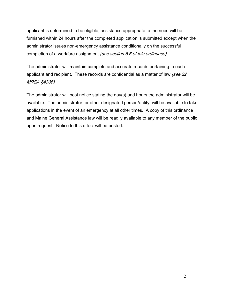applicant is determined to be eligible, assistance appropriate to the need will be furnished within 24 hours after the completed application is submitted except when the administrator issues non-emergency assistance conditionally on the successful completion of a workfare assignment (see section 5.6 of this ordinance).

The administrator will maintain complete and accurate records pertaining to each applicant and recipient. These records are confidential as a matter of law (see 22 MRSA §4306).

The administrator will post notice stating the day(s) and hours the administrator will be available. The administrator, or other designated person/entity, will be available to take applications in the event of an emergency at all other times. A copy of this ordinance and Maine General Assistance law will be readily available to any member of the public upon request. Notice to this effect will be posted.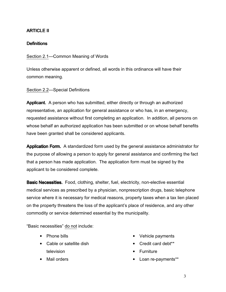# **ARTICLE II**

## **Definitions**

Section 2.1—Common Meaning of Words

Unless otherwise apparent or defined, all words in this ordinance will have their common meaning.

Section 2.2—Special Definitions

**Applicant.** A person who has submitted, either directly or through an authorized representative, an application for general assistance or who has, in an emergency, requested assistance without first completing an application. In addition, all persons on whose behalf an authorized application has been submitted or on whose behalf benefits have been granted shall be considered applicants.

Application Form. A standardized form used by the general assistance administrator for the purpose of allowing a person to apply for general assistance and confirming the fact that a person has made application. The application form must be signed by the applicant to be considered complete.

**Basic Necessities.** Food, clothing, shelter, fuel, electricity, non-elective essential medical services as prescribed by a physician, nonprescription drugs, basic telephone service where it is necessary for medical reasons, property taxes when a tax lien placed on the property threatens the loss of the applicant's place of residence, and any other commodity or service determined essential by the municipality.

"Basic necessities" do not include:

- Phone bills
- Cable or satellite dish television
- Vehicle payments
- Credit card debt\*\*
- Furniture
- Loan re-payments\*\*

• Mail orders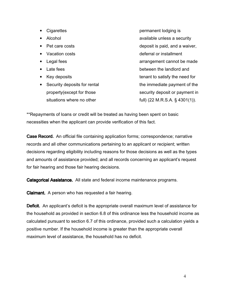| Cigarettes                                | permanent lodging is              |
|-------------------------------------------|-----------------------------------|
| Alcohol                                   | available unless a security       |
| Pet care costs                            | deposit is paid, and a waiver,    |
| Vacation costs<br>$\bullet$               | deferral or installment           |
| Legal fees                                | arrangement cannot be made        |
| Late fees<br>$\bullet$                    | between the landlord and          |
| Key deposits<br>$\bullet$                 | tenant to satisfy the need for    |
| Security deposits for rental<br>$\bullet$ | the immediate payment of the      |
| property (except for those                | security deposit or payment in    |
| situations where no other                 | full) (22 M.R.S.A. $\S$ 4301(1)). |

\*\*Repayments of loans or credit will be treated as having been spent on basic necessities when the applicant can provide verification of this fact.

**Case Record.** An official file containing application forms; correspondence; narrative records and all other communications pertaining to an applicant or recipient; written decisions regarding eligibility including reasons for those decisions as well as the types and amounts of assistance provided; and all records concerning an applicant's request for fair hearing and those fair hearing decisions.

Categorical Assistance. All state and federal income maintenance programs.

**Claimant.** A person who has requested a fair hearing.

**Deficit.** An applicant's deficit is the appropriate overall maximum level of assistance for the household as provided in section 6.8 of this ordinance less the household income as calculated pursuant to section 6.7 of this ordinance, provided such a calculation yields a positive number. If the household income is greater than the appropriate overall maximum level of assistance, the household has no deficit.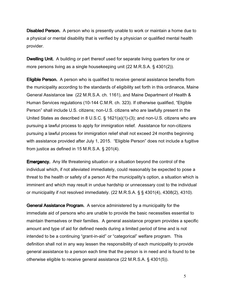Disabled Person. A person who is presently unable to work or maintain a home due to a physical or mental disability that is verified by a physician or qualified mental health provider.

**Dwelling Unit.** A building or part thereof used for separate living quarters for one or more persons living as a single housekeeping unit (22 M.R.S.A. § 4301(2)).

**Eligible Person.** A person who is qualified to receive general assistance benefits from the municipality according to the standards of eligibility set forth in this ordinance, Maine General Assistance law (22 M.R.S.A. ch. 1161), and Maine Department of Health & Human Services regulations (10-144 C.M.R. ch. 323). If otherwise qualified, "Eligible Person" shall include U.S. citizens; non-U.S. citizens who are lawfully present in the United States as described in 8 U.S.C. § 1621(a)(1)-(3); and non-U.S. citizens who are pursuing a lawful process to apply for immigration relief. Assistance for non-citizens pursuing a lawful process for immigration relief shall not exceed 24 months beginning with assistance provided after July 1, 2015. "Eligible Person" does not include a fugitive from justice as defined in 15 M.R.S.A. § 201(4).

Emergency. Any life threatening situation or a situation beyond the control of the individual which, if not alleviated immediately, could reasonably be expected to pose a threat to the health or safety of a person At the municipality's option, a situation which is imminent and which may result in undue hardship or unnecessary cost to the individual or municipality if not resolved immediately. (22 M.R.S.A. § § 4301(4), 4308(2), 4310).

General Assistance Program. A service administered by a municipality for the immediate aid of persons who are unable to provide the basic necessities essential to maintain themselves or their families. A general assistance program provides a specific amount and type of aid for defined needs during a limited period of time and is not intended to be a continuing "grant-in-aid" or "categorical" welfare program. This definition shall not in any way lessen the responsibility of each municipality to provide general assistance to a person each time that the person is in need and is found to be otherwise eligible to receive general assistance (22 M.R.S.A. § 4301(5)).

5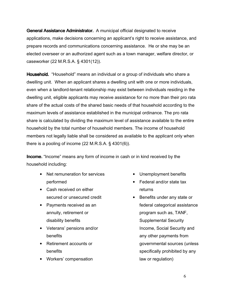General Assistance Administrator. A municipal official designated to receive applications, make decisions concerning an applicant's right to receive assistance, and prepare records and communications concerning assistance. He or she may be an elected overseer or an authorized agent such as a town manager, welfare director, or caseworker (22 M.R.S.A. § 4301(12)).

Household. "Household" means an individual or a group of individuals who share a dwelling unit. When an applicant shares a dwelling unit with one or more individuals, even when a landlord-tenant relationship may exist between individuals residing in the dwelling unit, eligible applicants may receive assistance for no more than their pro rata share of the actual costs of the shared basic needs of that household according to the maximum levels of assistance established in the municipal ordinance. The pro rata share is calculated by dividing the maximum level of assistance available to the entire household by the total number of household members. The income of household members not legally liable shall be considered as available to the applicant only when there is a pooling of income (22 M.R.S.A. § 4301(6)).

Income. "Income" means any form of income in cash or in kind received by the household including:

- Net remuneration for services performed
- Cash received on either secured or unsecured credit
- Payments received as an annuity, retirement or disability benefits
- Veterans' pensions and/or benefits
- Retirement accounts or benefits
- Workers' compensation
- Unemployment benefits
- Federal and/or state tax returns
- Benefits under any state or federal categorical assistance program such as, TANF, Supplemental Security Income, Social Security and any other payments from governmental sources (unless specifically prohibited by any law or regulation)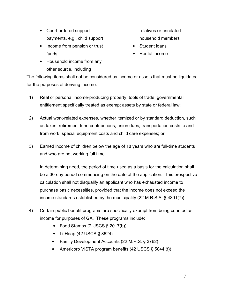- Court ordered support payments, e.g., child support
- Income from pension or trust funds
- Household income from any other source, including
- relatives or unrelated household members
- Student loans
- Rental income

The following items shall not be considered as income or assets that must be liquidated for the purposes of deriving income:

- 1) Real or personal income-producing property, tools of trade, governmental entitlement specifically treated as exempt assets by state or federal law;
- 2) Actual work-related expenses, whether itemized or by standard deduction, such as taxes, retirement fund contributions, union dues, transportation costs to and from work, special equipment costs and child care expenses; or
- 3) Earned income of children below the age of 18 years who are full-time students and who are not working full time.

 In determining need, the period of time used as a basis for the calculation shall be a 30-day period commencing on the date of the application. This prospective calculation shall not disqualify an applicant who has exhausted income to purchase basic necessities, provided that the income does not exceed the income standards established by the municipality (22 M.R.S.A. § 4301(7)).

- 4) Certain public benefit programs are specifically exempt from being counted as income for purposes of GA. These programs include:
	- Food Stamps (7 USCS § 2017(b))
	- Li-Heap (42 USCS § 8624)
	- Family Development Accounts (22 M.R.S. § 3762)
	- Americorp VISTA program benefits (42 USCS § 5044 (f))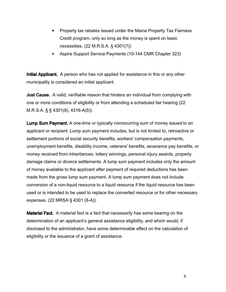- Property tax rebates issued under the Maine Property Tax Fairness Credit program, only so long as the money is spent on basic necessities. (22 M.R.S.A. § 4301(7))
- Aspire Support Service Payments (10-144 CMR Chapter 323)

**Initial Applicant.** A person who has not applied for assistance in this or any other municipality is considered an initial applicant.

**Just Cause.** A valid, verifiable reason that hinders an individual from complying with one or more conditions of eligibility or from attending a scheduled fair hearing (22 M.R.S.A. § § 4301(8), 4316-A(5)).

**Lump Sum Payment.** A one-time or typically nonrecurring sum of money issued to an applicant or recipient. Lump sum payment includes, but is not limited to, retroactive or settlement portions of social security benefits, workers' compensation payments, unemployment benefits, disability income, veterans' benefits, severance pay benefits, or money received from inheritances, lottery winnings, personal injury awards, property damage claims or divorce settlements. A lump sum payment includes only the amount of money available to the applicant after payment of required deductions has been made from the gross lump sum payment. A lump sum payment does not include conversion of a non-liquid resource to a liquid resource if the liquid resource has been used or is intended to be used to replace the converted resource or for other necessary expenses. (22 MRSA § 4301 (8-A)).

Material Fact. A material fact is a fact that necessarily has some bearing on the determination of an applicant's general assistance eligibility, and which would, if disclosed to the administrator, have some determinable effect on the calculation of eligibility or the issuance of a grant of assistance.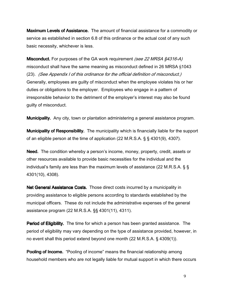Maximum Levels of Assistance. The amount of financial assistance for a commodity or service as established in section 6.8 of this ordinance or the actual cost of any such basic necessity, whichever is less.

**Misconduct.** For purposes of the GA work requirement (see 22 MRSA §4316-A) misconduct shall have the same meaning as misconduct defined in 26 MRSA §1043 (23). (See Appendix I of this ordinance for the official definition of misconduct.) Generally, employees are guilty of misconduct when the employee violates his or her duties or obligations to the employer. Employees who engage in a pattern of irresponsible behavior to the detriment of the employer's interest may also be found guilty of misconduct.

Municipality. Any city, town or plantation administering a general assistance program.

**Municipality of Responsibility.** The municipality which is financially liable for the support of an eligible person at the time of application (22 M.R.S.A. § § 4301(9), 4307).

Need. The condition whereby a person's income, money, property, credit, assets or other resources available to provide basic necessities for the individual and the individual's family are less than the maximum levels of assistance (22 M.R.S.A. § § 4301(10), 4308).

Net General Assistance Costs. Those direct costs incurred by a municipality in providing assistance to eligible persons according to standards established by the municipal officers. These do not include the administrative expenses of the general assistance program (22 M.R.S.A. §§ 4301(11), 4311).

Period of Eligibility. The time for which a person has been granted assistance. The period of eligibility may vary depending on the type of assistance provided, however, in no event shall this period extend beyond one month (22 M.R.S.A. § 4309(1)).

**Pooling of Income.** "Pooling of income" means the financial relationship among household members who are not legally liable for mutual support in which there occurs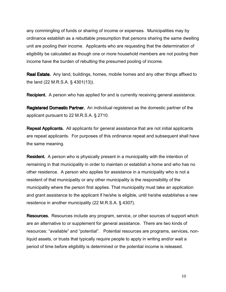any commingling of funds or sharing of income or expenses. Municipalities may by ordinance establish as a rebuttable presumption that persons sharing the same dwelling unit are pooling their income. Applicants who are requesting that the determination of eligibility be calculated as though one or more household members are not pooling their income have the burden of rebutting the presumed pooling of income.

Real Estate. Any land, buildings, homes, mobile homes and any other things affixed to the land (22 M.R.S.A. § 4301(13)).

**Recipient.** A person who has applied for and is currently receiving general assistance.

Registered Domestic Partner. An individual registered as the domestic partner of the applicant pursuant to 22 M.R.S.A. § 2710.

Repeat Applicants. All applicants for general assistance that are not initial applicants are repeat applicants. For purposes of this ordinance repeat and subsequent shall have the same meaning.

**Resident.** A person who is physically present in a municipality with the intention of remaining in that municipality in order to maintain or establish a home and who has no other residence. A person who applies for assistance in a municipality who is not a resident of that municipality or any other municipality is the responsibility of the municipality where the person first applies. That municipality must take an application and grant assistance to the applicant if he/she is eligible, until he/she establishes a new residence in another municipality (22 M.R.S.A. § 4307).

Resources. Resources include any program, service, or other sources of support which are an alternative to or supplement for general assistance. There are two kinds of resources: "available" and "potential". Potential resources are programs, services, nonliquid assets, or trusts that typically require people to apply in writing and/or wait a period of time before eligibility is determined or the potential income is released.

10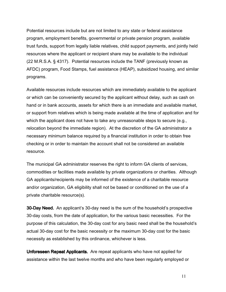Potential resources include but are not limited to any state or federal assistance program, employment benefits, governmental or private pension program, available trust funds, support from legally liable relatives, child support payments, and jointly held resources where the applicant or recipient share may be available to the individual (22 M.R.S.A. § 4317). Potential resources include the TANF (previously known as AFDC) program, Food Stamps, fuel assistance (HEAP), subsidized housing, and similar programs.

Available resources include resources which are immediately available to the applicant or which can be conveniently secured by the applicant without delay, such as cash on hand or in bank accounts, assets for which there is an immediate and available market, or support from relatives which is being made available at the time of application and for which the applicant does not have to take any unreasonable steps to secure (e.g., relocation beyond the immediate region). At the discretion of the GA administrator a necessary minimum balance required by a financial institution in order to obtain free checking or in order to maintain the account shall not be considered an available resource.

The municipal GA administrator reserves the right to inform GA clients of services, commodities or facilities made available by private organizations or charities. Although GA applicants/recipients may be informed of the existence of a charitable resource and/or organization, GA eligibility shall not be based or conditioned on the use of a private charitable resource(s).

**30-Day Need.** An applicant's 30-day need is the sum of the household's prospective 30-day costs, from the date of application, for the various basic necessities. For the purpose of this calculation, the 30-day cost for any basic need shall be the household's actual 30-day cost for the basic necessity or the maximum 30-day cost for the basic necessity as established by this ordinance, whichever is less.

Unforeseen Repeat Applicants. Are repeat applicants who have not applied for assistance within the last twelve months and who have been regularly employed or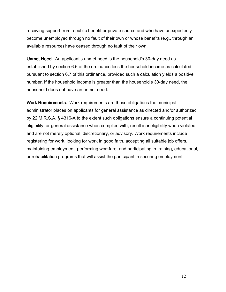receiving support from a public benefit or private source and who have unexpectedly become unemployed through no fault of their own or whose benefits (e.g., through an available resource) have ceased through no fault of their own.

Unmet Need. An applicant's unmet need is the household's 30-day need as established by section 6.6 of the ordinance less the household income as calculated pursuant to section 6.7 of this ordinance, provided such a calculation yields a positive number. If the household income is greater than the household's 30-day need, the household does not have an unmet need.

Work Requirements. Work requirements are those obligations the municipal administrator places on applicants for general assistance as directed and/or authorized by 22 M.R.S.A. § 4316-A to the extent such obligations ensure a continuing potential eligibility for general assistance when complied with, result in ineligibility when violated, and are not merely optional, discretionary, or advisory. Work requirements include registering for work, looking for work in good faith, accepting all suitable job offers, maintaining employment, performing workfare, and participating in training, educational, or rehabilitation programs that will assist the participant in securing employment.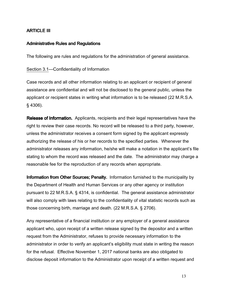## ARTICLE III

#### **Administrative Rules and Regulations**

The following are rules and regulations for the administration of general assistance.

Section 3.1—Confidentiality of Information

Case records and all other information relating to an applicant or recipient of general assistance are confidential and will not be disclosed to the general public, unless the applicant or recipient states in writing what information is to be released (22 M.R.S.A. § 4306).

Release of Information. Applicants, recipients and their legal representatives have the right to review their case records. No record will be released to a third party, however, unless the administrator receives a consent form signed by the applicant expressly authorizing the release of his or her records to the specified parties. Whenever the administrator releases any information, he/she will make a notation in the applicant's file stating to whom the record was released and the date. The administrator may charge a reasonable fee for the reproduction of any records when appropriate.

Information from Other Sources; Penalty. Information furnished to the municipality by the Department of Health and Human Services or any other agency or institution pursuant to 22 M.R.S.A. § 4314, is confidential. The general assistance administrator will also comply with laws relating to the confidentiality of vital statistic records such as those concerning birth, marriage and death. (22 M.R.S.A. § 2706).

Any representative of a financial institution or any employer of a general assistance applicant who, upon receipt of a written release signed by the depositor and a written request from the Administrator, refuses to provide necessary information to the administrator in order to verify an applicant's eligibility must state in writing the reason for the refusal. Effective November 1, 2017 national banks are also obligated to disclose deposit information to the Administrator upon receipt of a written request and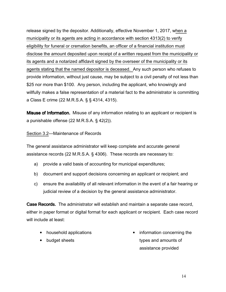release signed by the depositor. Additionally, effective November 1, 2017, when a municipality or its agents are acting in accordance with section 4313(2) to verify eligibility for funeral or cremation benefits, an officer of a financial institution must disclose the amount deposited upon receipt of a written request from the municipality or its agents and a notarized affidavit signed by the overseer of the municipality or its agents stating that the named depositor is deceased. Any such person who refuses to provide information, without just cause, may be subject to a civil penalty of not less than \$25 nor more than \$100. Any person, including the applicant, who knowingly and willfully makes a false representation of a material fact to the administrator is committing a Class E crime (22 M.R.S.A. § § 4314, 4315).

**Misuse of Information.** Misuse of any information relating to an applicant or recipient is a punishable offense (22 M.R.S.A. § 42(2)).

#### Section 3.2—Maintenance of Records

The general assistance administrator will keep complete and accurate general assistance records (22 M.R.S.A. § 4306). These records are necessary to:

- a) provide a valid basis of accounting for municipal expenditures;
- b) document and support decisions concerning an applicant or recipient; and
- c) ensure the availability of all relevant information in the event of a fair hearing or judicial review of a decision by the general assistance administrator.

Case Records. The administrator will establish and maintain a separate case record, either in paper format or digital format for each applicant or recipient. Each case record will include at least:

- household applications
- budget sheets

• information concerning the types and amounts of assistance provided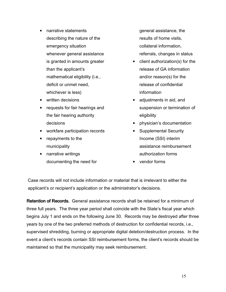- narrative statements describing the nature of the emergency situation whenever general assistance is granted in amounts greater than the applicant's mathematical eligibility (i.e., deficit or unmet need, whichever is less)
- written decisions
- requests for fair hearings and the fair hearing authority decisions
- workfare participation records
- repayments to the municipality
- narrative writings documenting the need for

general assistance, the results of home visits, collateral information, referrals, changes in status

- client authorization(s) for the release of GA information and/or reason(s) for the release of confidential information
- adjustments in aid, and suspension or termination of eligibility
- physician's documentation
- Supplemental Security Income (SSI) interim assistance reimbursement authorization forms
- vendor forms

Case records will not include information or material that is irrelevant to either the applicant's or recipient's application or the administrator's decisions.

Retention of Records. General assistance records shall be retained for a minimum of three full years. The three year period shall coincide with the State's fiscal year which begins July 1 and ends on the following June 30. Records may be destroyed after three years by one of the two preferred methods of destruction for confidential records, i.e., supervised shredding, burning or appropriate digital deletion/destruction process. In the event a client's records contain SSI reimbursement forms, the client's records should be maintained so that the municipality may seek reimbursement.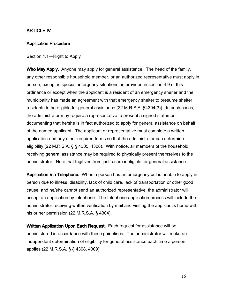#### ARTICLE IV

#### **Application Procedure**

#### Section 4.1—Right to Apply

Who May Apply. Anyone may apply for general assistance. The head of the family, any other responsible household member, or an authorized representative must apply in person, except in special emergency situations as provided in section 4.9 of this ordinance or except when the applicant is a resident of an emergency shelter and the municipality has made an agreement with that emergency shelter to presume shelter residents to be eligible for general assistance (22 M.R.S.A. §4304(3)). In such cases, the administrator may require a representative to present a signed statement documenting that he/she is in fact authorized to apply for general assistance on behalf of the named applicant. The applicant or representative must complete a written application and any other required forms so that the administrator can determine eligibility (22 M.R.S.A. § § 4305, 4308). With notice, all members of the household receiving general assistance may be required to physically present themselves to the administrator. Note that fugitives from justice are ineligible for general assistance.

Application Via Telephone. When a person has an emergency but is unable to apply in person due to illness, disability, lack of child care, lack of transportation or other good cause, and he/she cannot send an authorized representative, the administrator will accept an application by telephone. The telephone application process will include the administrator receiving written verification by mail and visiting the applicant's home with his or her permission (22 M.R.S.A. § 4304).

Written Application Upon Each Request. Each request for assistance will be administered in accordance with these guidelines. The administrator will make an independent determination of eligibility for general assistance each time a person applies (22 M.R.S.A. § § 4308, 4309).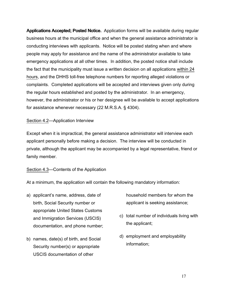Applications Accepted; Posted Notice. Application forms will be available during regular business hours at the municipal office and when the general assistance administrator is conducting interviews with applicants. Notice will be posted stating when and where people may apply for assistance and the name of the administrator available to take emergency applications at all other times. In addition, the posted notice shall include the fact that the municipality must issue a written decision on all applications within 24 hours, and the DHHS toll-free telephone numbers for reporting alleged violations or complaints. Completed applications will be accepted and interviews given only during the regular hours established and posted by the administrator. In an emergency, however, the administrator or his or her designee will be available to accept applications for assistance whenever necessary (22 M.R.S.A. § 4304).

# Section 4.2—Application Interview

Except when it is impractical, the general assistance administrator will interview each applicant personally before making a decision. The interview will be conducted in private, although the applicant may be accompanied by a legal representative, friend or family member.

## Section 4.3—Contents of the Application

At a minimum, the application will contain the following mandatory information:

- a) applicant's name, address, date of birth, Social Security number or appropriate United States Customs and Immigration Services (USCIS) documentation, and phone number;
- b) names, date(s) of birth, and Social Security number(s) or appropriate USCIS documentation of other

household members for whom the applicant is seeking assistance;

- c) total number of individuals living with the applicant;
- d) employment and employability information;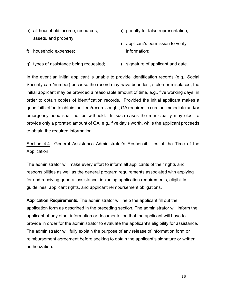e) all household income, resources, assets, and property;

f) household expenses;

- h) penalty for false representation;
- i) applicant's permission to verify information;
- g) types of assistance being requested; j) signature of applicant and date.

In the event an initial applicant is unable to provide identification records (e.g., Social Security card/number) because the record may have been lost, stolen or misplaced, the initial applicant may be provided a reasonable amount of time, e.g., five working days, in order to obtain copies of identification records. Provided the initial applicant makes a good faith effort to obtain the item/record sought, GA required to cure an immediate and/or emergency need shall not be withheld. In such cases the municipality may elect to provide only a prorated amount of GA, e.g., five day's worth, while the applicant proceeds to obtain the required information.

Section 4.4—General Assistance Administrator's Responsibilities at the Time of the Application

The administrator will make every effort to inform all applicants of their rights and responsibilities as well as the general program requirements associated with applying for and receiving general assistance, including application requirements, eligibility guidelines, applicant rights, and applicant reimbursement obligations.

Application Requirements. The administrator will help the applicant fill out the application form as described in the preceding section. The administrator will inform the applicant of any other information or documentation that the applicant will have to provide in order for the administrator to evaluate the applicant's eligibility for assistance. The administrator will fully explain the purpose of any release of information form or reimbursement agreement before seeking to obtain the applicant's signature or written authorization.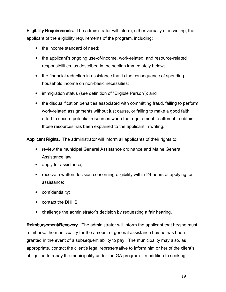Eligibility Requirements. The administrator will inform, either verbally or in writing, the applicant of the eligibility requirements of the program, including:

- the income standard of need;
- the applicant's ongoing use-of-income, work-related, and resource-related responsibilities, as described in the section immediately below;
- the financial reduction in assistance that is the consequence of spending household income on non-basic necessities;
- immigration status (see definition of "Eligible Person"); and
- the disqualification penalties associated with committing fraud, failing to perform work-related assignments without just cause, or failing to make a good faith effort to secure potential resources when the requirement to attempt to obtain those resources has been explained to the applicant in writing.

Applicant Rights. The administrator will inform all applicants of their rights to:

- review the municipal General Assistance ordinance and Maine General Assistance law;
- apply for assistance;
- receive a written decision concerning eligibility within 24 hours of applying for assistance;
- confidentiality;
- contact the DHHS;
- challenge the administrator's decision by requesting a fair hearing.

Reimbursement/Recovery. The administrator will inform the applicant that he/she must reimburse the municipality for the amount of general assistance he/she has been granted in the event of a subsequent ability to pay. The municipality may also, as appropriate, contact the client's legal representative to inform him or her of the client's obligation to repay the municipality under the GA program. In addition to seeking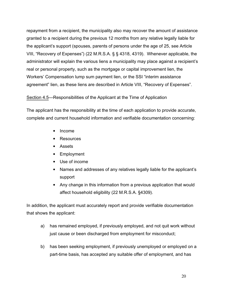repayment from a recipient, the municipality also may recover the amount of assistance granted to a recipient during the previous 12 months from any relative legally liable for the applicant's support (spouses, parents of persons under the age of 25, see Article VIII, "Recovery of Expenses") (22 M.R.S.A. § § 4318, 4319). Whenever applicable, the administrator will explain the various liens a municipality may place against a recipient's real or personal property, such as the mortgage or capital improvement lien, the Workers' Compensation lump sum payment lien, or the SSI "interim assistance agreement" lien, as these liens are described in Article VIII, "Recovery of Expenses".

#### Section 4.5—Responsibilities of the Applicant at the Time of Application

The applicant has the responsibility at the time of each application to provide accurate, complete and current household information and verifiable documentation concerning:

- Income
- **Resources**
- Assets
- Employment
- Use of income
- Names and addresses of any relatives legally liable for the applicant's support
- Any change in this information from a previous application that would affect household eligibility (22 M.R.S.A. §4309).

In addition, the applicant must accurately report and provide verifiable documentation that shows the applicant:

- a) has remained employed, if previously employed, and not quit work without just cause or been discharged from employment for misconduct;
- b) has been seeking employment, if previously unemployed or employed on a part-time basis, has accepted any suitable offer of employment, and has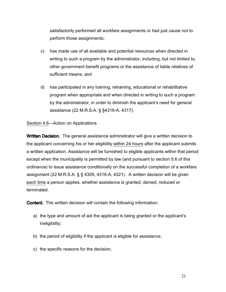satisfactorily performed all workfare assignments or had just cause not to perform those assignments;

- c) has made use of all available and potential resources when directed in writing to such a program by the administrator, including, but not limited to, other government benefit programs or the assistance of liable relatives of sufficient means; and
- d) has participated in any training, retraining, educational or rehabilitative program when appropriate and when directed in writing to such a program by the administrator, in order to diminish the applicant's need for general assistance (22 M.R.S.A. § §4316-A, 4317).

#### Section 4.6—Action on Applications

Written Decision. The general assistance administrator will give a written decision to the applicant concerning his or her eligibility within 24 hours after the applicant submits a written application. Assistance will be furnished to eligible applicants within that period except when the municipality is permitted by law (and pursuant to section 5.6 of this ordinance) to issue assistance conditionally on the successful completion of a workfare assignment (22 M.R.S.A. § § 4305, 4316-A, 4321). A written decision will be given each time a person applies, whether assistance is granted, denied, reduced or terminated.

**Content.** The written decision will contain the following information:

- a) the type and amount of aid the applicant is being granted or the applicant's ineligibility;
- b) the period of eligibility if the applicant is eligible for assistance;
- c) the specific reasons for the decision;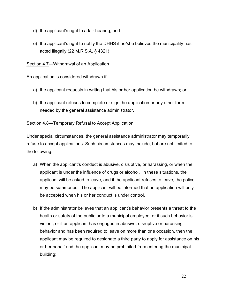- d) the applicant's right to a fair hearing; and
- e) the applicant's right to notify the DHHS if he/she believes the municipality has acted illegally (22 M.R.S.A. § 4321).

Section 4.7—Withdrawal of an Application

An application is considered withdrawn if:

- a) the applicant requests in writing that his or her application be withdrawn; or
- b) the applicant refuses to complete or sign the application or any other form needed by the general assistance administrator.

Section 4.8—Temporary Refusal to Accept Application

Under special circumstances, the general assistance administrator may temporarily refuse to accept applications. Such circumstances may include, but are not limited to, the following:

- a) When the applicant's conduct is abusive, disruptive, or harassing, or when the applicant is under the influence of drugs or alcohol. In these situations, the applicant will be asked to leave, and if the applicant refuses to leave, the police may be summoned. The applicant will be informed that an application will only be accepted when his or her conduct is under control.
- b) If the administrator believes that an applicant's behavior presents a threat to the health or safety of the public or to a municipal employee, or if such behavior is violent, or if an applicant has engaged in abusive, disruptive or harassing behavior and has been required to leave on more than one occasion, then the applicant may be required to designate a third party to apply for assistance on his or her behalf and the applicant may be prohibited from entering the municipal building;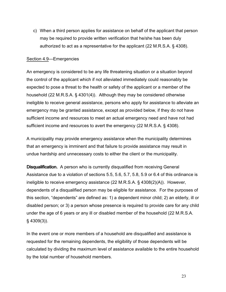c) When a third person applies for assistance on behalf of the applicant that person may be required to provide written verification that he/she has been duly authorized to act as a representative for the applicant (22 M.R.S.A. § 4308).

#### Section 4.9—Emergencies

An emergency is considered to be any life threatening situation or a situation beyond the control of the applicant which if not alleviated immediately could reasonably be expected to pose a threat to the health or safety of the applicant or a member of the household (22 M.R.S.A. § 4301(4)). Although they may be considered otherwise ineligible to receive general assistance, persons who apply for assistance to alleviate an emergency may be granted assistance, except as provided below, if they do not have sufficient income and resources to meet an actual emergency need and have not had sufficient income and resources to avert the emergency (22 M.R.S.A. § 4308).

A municipality may provide emergency assistance when the municipality determines that an emergency is imminent and that failure to provide assistance may result in undue hardship and unnecessary costs to either the client or the municipality.

**Disqualification.** A person who is currently disqualified from receiving General Assistance due to a violation of sections 5.5, 5.6, 5.7, 5.8, 5.9 or 6.4 of this ordinance is ineligible to receive emergency assistance (22 M.R.S.A. § 4308(2)(A)). However, dependents of a disqualified person may be eligible for assistance. For the purposes of this section, "dependents" are defined as: 1) a dependent minor child; 2) an elderly, ill or disabled person; or 3) a person whose presence is required to provide care for any child under the age of 6 years or any ill or disabled member of the household (22 M.R.S.A. § 4309(3)).

In the event one or more members of a household are disqualified and assistance is requested for the remaining dependents, the eligibility of those dependents will be calculated by dividing the maximum level of assistance available to the entire household by the total number of household members.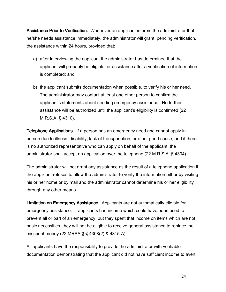Assistance Prior to Verification. Whenever an applicant informs the administrator that he/she needs assistance immediately, the administrator will grant, pending verification, the assistance within 24 hours, provided that:

- a) after interviewing the applicant the administrator has determined that the applicant will probably be eligible for assistance after a verification of information is completed; and
- b) the applicant submits documentation when possible, to verify his or her need. The administrator may contact at least one other person to confirm the applicant's statements about needing emergency assistance. No further assistance will be authorized until the applicant's eligibility is confirmed (22 M.R.S.A. § 4310).

Telephone Applications. If a person has an emergency need and cannot apply in person due to illness, disability, lack of transportation, or other good cause, and if there is no authorized representative who can apply on behalf of the applicant, the administrator shall accept an application over the telephone (22 M.R.S.A. § 4304).

The administrator will not grant any assistance as the result of a telephone application if the applicant refuses to allow the administrator to verify the information either by visiting his or her home or by mail and the administrator cannot determine his or her eligibility through any other means.

Limitation on Emergency Assistance. Applicants are not automatically eligible for emergency assistance. If applicants had income which could have been used to prevent all or part of an emergency, but they spent that income on items which are not basic necessities, they will not be eligible to receive general assistance to replace the misspent money (22 MRSA § § 4308(2) & 4315-A).

All applicants have the responsibility to provide the administrator with verifiable documentation demonstrating that the applicant did not have sufficient income to avert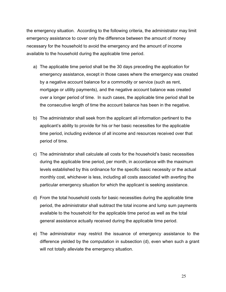the emergency situation. According to the following criteria, the administrator may limit emergency assistance to cover only the difference between the amount of money necessary for the household to avoid the emergency and the amount of income available to the household during the applicable time period.

- a) The applicable time period shall be the 30 days preceding the application for emergency assistance, except in those cases where the emergency was created by a negative account balance for a commodity or service (such as rent, mortgage or utility payments), and the negative account balance was created over a longer period of time. In such cases, the applicable time period shall be the consecutive length of time the account balance has been in the negative.
- b) The administrator shall seek from the applicant all information pertinent to the applicant's ability to provide for his or her basic necessities for the applicable time period, including evidence of all income and resources received over that period of time.
- c) The administrator shall calculate all costs for the household's basic necessities during the applicable time period, per month, in accordance with the maximum levels established by this ordinance for the specific basic necessity or the actual monthly cost, whichever is less, including all costs associated with averting the particular emergency situation for which the applicant is seeking assistance.
- d) From the total household costs for basic necessities during the applicable time period, the administrator shall subtract the total income and lump sum payments available to the household for the applicable time period as well as the total general assistance actually received during the applicable time period.
- e) The administrator may restrict the issuance of emergency assistance to the difference yielded by the computation in subsection (d), even when such a grant will not totally alleviate the emergency situation.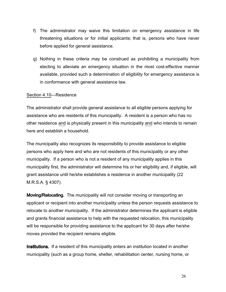- f) The administrator may waive this limitation on emergency assistance in life threatening situations or for initial applicants; that is, persons who have never before applied for general assistance.
- g) Nothing in these criteria may be construed as prohibiting a municipality from electing to alleviate an emergency situation in the most cost-effective manner available, provided such a determination of eligibility for emergency assistance is in conformance with general assistance law.

#### Section 4.10—Residence

The administrator shall provide general assistance to all eligible persons applying for assistance who are residents of this municipality. A resident is a person who has no other residence and is physically present in this municipality and who intends to remain here and establish a household.

The municipality also recognizes its responsibility to provide assistance to eligible persons who apply here and who are not residents of this municipality or any other municipality. If a person who is not a resident of any municipality applies in this municipality first, the administrator will determine his or her eligibility and, if eligible, will grant assistance until he/she establishes a residence in another municipality (22 M.R.S.A. § 4307).

Moving/Relocating. The municipality will not consider moving or transporting an applicant or recipient into another municipality unless the person requests assistance to relocate to another municipality. If the administrator determines the applicant is eligible and grants financial assistance to help with the requested relocation, this municipality will be responsible for providing assistance to the applicant for 30 days after he/she moves provided the recipient remains eligible.

**Institutions.** If a resident of this municipality enters an institution located in another municipality (such as a group home, shelter, rehabilitation center, nursing home, or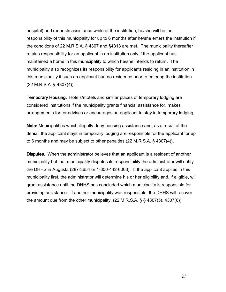hospital) and requests assistance while at the institution, he/she will be the responsibility of this municipality for up to 6 months after he/she enters the institution if the conditions of 22 M.R.S.A. § 4307 and §4313 are met. The municipality thereafter retains responsibility for an applicant in an institution only if the applicant has maintained a home in this municipality to which he/she intends to return. The municipality also recognizes its responsibility for applicants residing in an institution in this municipality if such an applicant had no residence prior to entering the institution (22 M.R.S.A. § 4307(4)).

Temporary Housing. Hotels/motels and similar places of temporary lodging are considered institutions if the municipality grants financial assistance for, makes arrangements for, or advises or encourages an applicant to stay in temporary lodging.

Note: Municipalities which illegally deny housing assistance and, as a result of the denial, the applicant stays in temporary lodging are responsible for the applicant for up to 6 months and may be subject to other penalties (22 M.R.S.A. § 4307(4)).

**Disputes.** When the administrator believes that an applicant is a resident of another municipality but that municipality disputes its responsibility the administrator will notify the DHHS in Augusta (287-3654 or 1-800-442-6003). If the applicant applies in this municipality first, the administrator will determine his or her eligibility and, if eligible, will grant assistance until the DHHS has concluded which municipality is responsible for providing assistance. If another municipality was responsible, the DHHS will recover the amount due from the other municipality. (22 M.R.S.A.  $\S$   $\S$  4307(5), 4307(6)).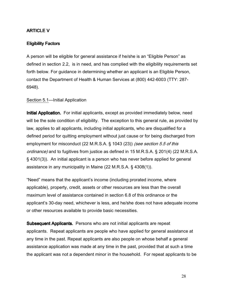# ARTICLE V

# Eligibility Factors

A person will be eligible for general assistance if he/she is an "Eligible Person" as defined in section 2.2, is in need, and has complied with the eligibility requirements set forth below. For guidance in determining whether an applicant is an Eligible Person, contact the Department of Health & Human Services at (800) 442-6003 (TTY: 287- 6948).

### Section 5.1—Initial Application

**Initial Application.** For initial applicants, except as provided immediately below, need will be the sole condition of eligibility. The exception to this general rule, as provided by law, applies to all applicants, including initial applicants, who are disqualified for a defined period for quitting employment without just cause or for being discharged from employment for misconduct (22 M.R.S.A. § 1043 (23)) *(see section 5.5 of this* ordinance) and to fugitives from justice as defined in 15 M.R.S.A. § 201(4) (22 M.R.S.A. § 4301(3)). An initial applicant is a person who has never before applied for general assistance in any municipality in Maine (22 M.R.S.A. § 4308(1)).

"Need" means that the applicant's income (including prorated income, where applicable), property, credit, assets or other resources are less than the overall maximum level of assistance contained in section 6.8 of this ordinance or the applicant's 30-day need, whichever is less, and he/she does not have adequate income or other resources available to provide basic necessities.

Subsequent Applicants. Persons who are not initial applicants are repeat applicants. Repeat applicants are people who have applied for general assistance at any time in the past. Repeat applicants are also people on whose behalf a general assistance application was made at any time in the past, provided that at such a time the applicant was not a dependent minor in the household. For repeat applicants to be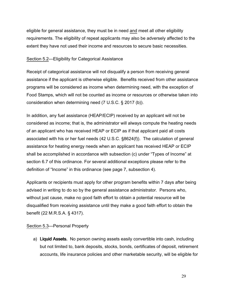eligible for general assistance, they must be in need and meet all other eligibility requirements. The eligibility of repeat applicants may also be adversely affected to the extent they have not used their income and resources to secure basic necessities.

## Section 5.2—Eligibility for Categorical Assistance

Receipt of categorical assistance will not disqualify a person from receiving general assistance if the applicant is otherwise eligible. Benefits received from other assistance programs will be considered as income when determining need, with the exception of Food Stamps, which will not be counted as income or resources or otherwise taken into consideration when determining need (7 U.S.C. § 2017 (b)).

In addition, any fuel assistance (HEAP/ECIP) received by an applicant will not be considered as income; that is, the administrator will always compute the heating needs of an applicant who has received HEAP or ECIP as if that applicant paid all costs associated with his or her fuel needs (42 U.S.C. §8624(f)). The calculation of general assistance for heating energy needs when an applicant has received HEAP or ECIP shall be accomplished in accordance with subsection (c) under "Types of Income" at section 6.7 of this ordinance. For several additional exceptions please refer to the definition of "Income" in this ordinance (see page 7, subsection 4).

Applicants or recipients must apply for other program benefits within 7 days after being advised in writing to do so by the general assistance administrator. Persons who, without just cause, make no good faith effort to obtain a potential resource will be disqualified from receiving assistance until they make a good faith effort to obtain the benefit (22 M.R.S.A. § 4317).

## Section 5.3—Personal Property

a) Liquid Assets. No person owning assets easily convertible into cash, including but not limited to, bank deposits, stocks, bonds, certificates of deposit, retirement accounts, life insurance policies and other marketable security, will be eligible for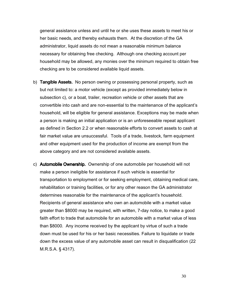general assistance unless and until he or she uses these assets to meet his or her basic needs, and thereby exhausts them. At the discretion of the GA administrator, liquid assets do not mean a reasonable minimum balance necessary for obtaining free checking. Although one checking account per household may be allowed, any monies over the minimum required to obtain free checking are to be considered available liquid assets.

- b) Tangible Assets. No person owning or possessing personal property, such as but not limited to: a motor vehicle (except as provided immediately below in subsection c), or a boat, trailer, recreation vehicle or other assets that are convertible into cash and are non-essential to the maintenance of the applicant's household, will be eligible for general assistance. Exceptions may be made when a person is making an initial application or is an unforeseeable repeat applicant as defined in Section 2.2 or when reasonable efforts to convert assets to cash at fair market value are unsuccessful. Tools of a trade, livestock, farm equipment and other equipment used for the production of income are exempt from the above category and are not considered available assets.
- c) Automobile Ownership. Ownership of one automobile per household will not make a person ineligible for assistance if such vehicle is essential for transportation to employment or for seeking employment, obtaining medical care, rehabilitation or training facilities, or for any other reason the GA administrator determines reasonable for the maintenance of the applicant's household. Recipients of general assistance who own an automobile with a market value greater than \$8000 may be required, with written, 7-day notice, to make a good faith effort to trade that automobile for an automobile with a market value of less than \$8000. Any income received by the applicant by virtue of such a trade down must be used for his or her basic necessities. Failure to liquidate or trade down the excess value of any automobile asset can result in disqualification (22 M.R.S.A. § 4317).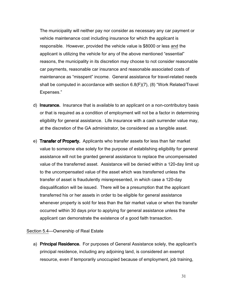The municipality will neither pay nor consider as necessary any car payment or vehicle maintenance cost including insurance for which the applicant is responsible. However, provided the vehicle value is \$8000 or less and the applicant is utilizing the vehicle for any of the above mentioned "essential" reasons, the municipality in its discretion may choose to not consider reasonable car payments, reasonable car insurance and reasonable associated costs of maintenance as "misspent" income. General assistance for travel-related needs shall be computed in accordance with section 6.8(F)(7), (8) "Work Related/Travel Expenses."

- d) Insurance. Insurance that is available to an applicant on a non-contributory basis or that is required as a condition of employment will not be a factor in determining eligibility for general assistance. Life insurance with a cash surrender value may, at the discretion of the GA administrator, be considered as a tangible asset.
- e) Transfer of Property. Applicants who transfer assets for less than fair market value to someone else solely for the purpose of establishing eligibility for general assistance will not be granted general assistance to replace the uncompensated value of the transferred asset. Assistance will be denied within a 120-day limit up to the uncompensated value of the asset which was transferred unless the transfer of asset is fraudulently misrepresented, in which case a 120-day disqualification will be issued. There will be a presumption that the applicant transferred his or her assets in order to be eligible for general assistance whenever property is sold for less than the fair market value or when the transfer occurred within 30 days prior to applying for general assistance unless the applicant can demonstrate the existence of a good faith transaction.

### Section 5.4—Ownership of Real Estate

a) Principal Residence. For purposes of General Assistance solely, the applicant's principal residence, including any adjoining land, is considered an exempt resource, even if temporarily unoccupied because of employment, job training,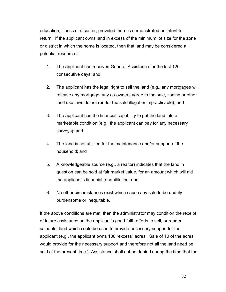education, illness or disaster, provided there is demonstrated an intent to return. If the applicant owns land in excess of the minimum lot size for the zone or district in which the home is located, then that land may be considered a potential resource if:

- 1. The applicant has received General Assistance for the last 120 consecutive days; and
- 2. The applicant has the legal right to sell the land (e.g., any mortgagee will release any mortgage, any co-owners agree to the sale, zoning or other land use laws do not render the sale illegal or impracticable); and
- 3. The applicant has the financial capability to put the land into a marketable condition (e.g., the applicant can pay for any necessary surveys); and
- 4. The land is not utilized for the maintenance and/or support of the household; and
- 5. A knowledgeable source (e.g., a realtor) indicates that the land in question can be sold at fair market value, for an amount which will aid the applicant's financial rehabilitation; and
- 6. No other circumstances exist which cause any sale to be unduly burdensome or inequitable.

 If the above conditions are met, then the administrator may condition the receipt of future assistance on the applicant's good faith efforts to sell, or render saleable, land which could be used to provide necessary support for the applicant (e.g., the applicant owns 100 "excess" acres. Sale of 10 of the acres would provide for the necessary support and therefore not all the land need be sold at the present time.) Assistance shall not be denied during the time that the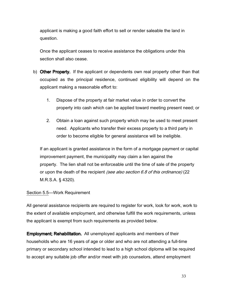applicant is making a good faith effort to sell or render saleable the land in question.

 Once the applicant ceases to receive assistance the obligations under this section shall also cease.

- b) Other Property. If the applicant or dependents own real property other than that occupied as the principal residence, continued eligibility will depend on the applicant making a reasonable effort to:
	- 1. Dispose of the property at fair market value in order to convert the property into cash which can be applied toward meeting present need; or
	- 2. Obtain a loan against such property which may be used to meet present need. Applicants who transfer their excess property to a third party in order to become eligible for general assistance will be ineligible.

If an applicant is granted assistance in the form of a mortgage payment or capital improvement payment, the municipality may claim a lien against the property. The lien shall not be enforceable until the time of sale of the property or upon the death of the recipient *(see also section 6.8 of this ordinance)* (22 M.R.S.A. § 4320).

## Section 5.5—Work Requirement

All general assistance recipients are required to register for work, look for work, work to the extent of available employment, and otherwise fulfill the work requirements, unless the applicant is exempt from such requirements as provided below.

**Employment; Rehabilitation.** All unemployed applicants and members of their households who are 16 years of age or older and who are not attending a full-time primary or secondary school intended to lead to a high school diploma will be required to accept any suitable job offer and/or meet with job counselors, attend employment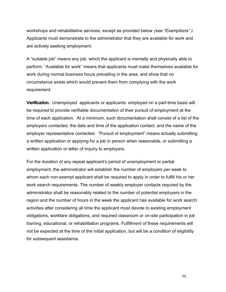workshops and rehabilitative services, except as provided below *(see "Exemptions")*. Applicants must demonstrate to the administrator that they are available for work and are actively seeking employment.

A "suitable job" means any job, which the applicant is mentally and physically able to perform. "Available for work" means that applicants must make themselves available for work during normal business hours prevailing in the area, and show that no circumstance exists which would prevent them from complying with the work requirement.

**Verification.** Unemployed applicants or applicants employed on a part-time basis will be required to provide verifiable documentation of their pursuit of employment at the time of each application. At a minimum, such documentation shall consist of a list of the employers contacted, the date and time of the application contact, and the name of the employer representative contacted. "Pursuit of employment" means actually submitting a written application or applying for a job in person when reasonable, or submitting a written application or letter of inquiry to employers.

For the duration of any repeat applicant's period of unemployment or partial employment, the administrator will establish the number of employers per week to whom each non-exempt applicant shall be required to apply in order to fulfill his or her work search requirements. The number of weekly employer contacts required by the administrator shall be reasonably related to the number of potential employers in the region and the number of hours in the week the applicant has available for work search activities after considering all time the applicant must devote to existing employment obligations, workfare obligations, and required classroom or on-site participation in job training, educational, or rehabilitation programs. Fulfillment of these requirements will not be expected at the time of the initial application, but will be a condition of eligibility for subsequent assistance.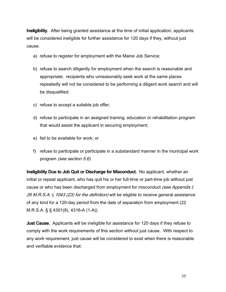**Ineligibility.** After being granted assistance at the time of initial application, applicants will be considered ineligible for further assistance for 120 days if they, without just cause:

- a) refuse to register for employment with the Maine Job Service;
- b) refuse to search diligently for employment when the search is reasonable and appropriate; recipients who unreasonably seek work at the same places repeatedly will not be considered to be performing a diligent work search and will be disqualified;
- c) refuse to accept a suitable job offer;
- d) refuse to participate in an assigned training, education or rehabilitation program that would assist the applicant in securing employment;
- e) fail to be available for work; or
- f) refuse to participate or participate in a substandard manner in the municipal work program (see section 5.6).

Ineligibility Due to Job Quit or Discharge for Misconduct. No applicant, whether an initial or repeat applicant, who has quit his or her full-time or part-time job without just cause or who has been discharged from employment for misconduct (see Appendix I, 26 M.R.S.A. *§* 1043 (23) for the definition) will be eligible to receive general assistance of any kind for a 120-day period from the date of separation from employment (22 M.R.S.A. § § 4301(8), 4316-A (1-A)).

**Just Cause.** Applicants will be ineligible for assistance for 120 days if they refuse to comply with the work requirements of this section without just cause. With respect to any work requirement, just cause will be considered to exist when there is reasonable and verifiable evidence that: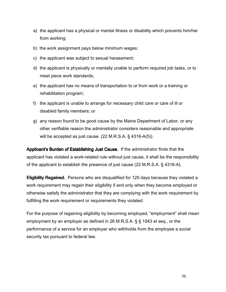- a) the applicant has a physical or mental illness or disability which prevents him/her from working;
- b) the work assignment pays below minimum wages;
- c) the applicant was subject to sexual harassment;
- d) the applicant is physically or mentally unable to perform required job tasks, or to meet piece work standards;
- e) the applicant has no means of transportation to or from work or a training or rehabilitation program;
- f) the applicant is unable to arrange for necessary child care or care of ill or disabled family members; or
- g) any reason found to be good cause by the Maine Department of Labor, or any other verifiable reason the administrator considers reasonable and appropriate will be accepted as just cause. (22 M.R.S.A. § 4316-A(5)).

Applicant's Burden of Establishing Just Cause. If the administrator finds that the applicant has violated a work-related rule without just cause, it shall be the responsibility of the applicant to establish the presence of just cause (22 M.R.S.A. § 4316-A).

**Eligibility Regained.** Persons who are disqualified for 120 days because they violated a work requirement may regain their eligibility if and only when they become employed or otherwise satisfy the administrator that they are complying with the work requirement by fulfilling the work requirement or requirements they violated.

For the purpose of regaining eligibility by becoming employed, "employment" shall mean employment by an employer as defined in 26 M.R.S.A. § § 1043 et seq., or the performance of a service for an employer who withholds from the employee a social security tax pursuant to federal law.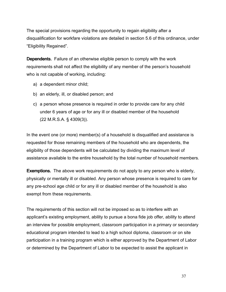The special provisions regarding the opportunity to regain eligibility after a disqualification for workfare violations are detailed in section 5.6 of this ordinance, under "Eligibility Regained".

**Dependents.** Failure of an otherwise eligible person to comply with the work requirements shall not affect the eligibility of any member of the person's household who is not capable of working, including:

- a) a dependent minor child;
- b) an elderly, ill, or disabled person; and
- c) a person whose presence is required in order to provide care for any child under 6 years of age or for any ill or disabled member of the household (22 M.R.S.A. § 4309(3)).

In the event one (or more) member(s) of a household is disqualified and assistance is requested for those remaining members of the household who are dependents, the eligibility of those dependents will be calculated by dividing the maximum level of assistance available to the entire household by the total number of household members.

**Exemptions.** The above work requirements do not apply to any person who is elderly, physically or mentally ill or disabled. Any person whose presence is required to care for any pre-school age child or for any ill or disabled member of the household is also exempt from these requirements.

The requirements of this section will not be imposed so as to interfere with an applicant's existing employment, ability to pursue a bona fide job offer, ability to attend an interview for possible employment, classroom participation in a primary or secondary educational program intended to lead to a high school diploma, classroom or on site participation in a training program which is either approved by the Department of Labor or determined by the Department of Labor to be expected to assist the applicant in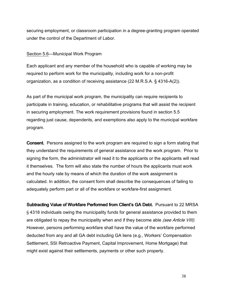securing employment, or classroom participation in a degree-granting program operated under the control of the Department of Labor.

## Section 5.6—Municipal Work Program

Each applicant and any member of the household who is capable of working may be required to perform work for the municipality, including work for a non-profit organization, as a condition of receiving assistance (22 M.R.S.A. § 4316-A(2)).

As part of the municipal work program, the municipality can require recipients to participate in training, education, or rehabilitative programs that will assist the recipient in securing employment. The work requirement provisions found in section 5.5 regarding just cause, dependents, and exemptions also apply to the municipal workfare program.

**Consent.** Persons assigned to the work program are required to sign a form stating that they understand the requirements of general assistance and the work program. Prior to signing the form, the administrator will read it to the applicants or the applicants will read it themselves. The form will also state the number of hours the applicants must work and the hourly rate by means of which the duration of the work assignment is calculated. In addition, the consent form shall describe the consequences of failing to adequately perform part or all of the workfare or workfare-first assignment.

Subtracting Value of Workfare Performed from Client's GA Debt. Pursuant to 22 MRSA § 4318 individuals owing the municipality funds for general assistance provided to them are obligated to repay the municipality when and if they become able (see Article VIII). However, persons performing workfare shall have the value of the workfare performed deducted from any and all GA debt including GA liens (e.g., Workers' Compensation Settlement, SSI Retroactive Payment, Capital Improvement, Home Mortgage) that might exist against their settlements, payments or other such property.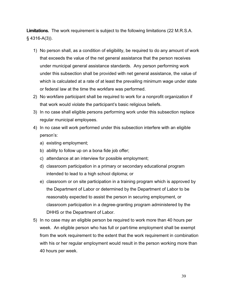Limitations. The work requirement is subject to the following limitations (22 M.R.S.A. § 4316-A(3)).

- 1) No person shall, as a condition of eligibility, be required to do any amount of work that exceeds the value of the net general assistance that the person receives under municipal general assistance standards. Any person performing work under this subsection shall be provided with net general assistance, the value of which is calculated at a rate of at least the prevailing minimum wage under state or federal law at the time the workfare was performed.
- 2) No workfare participant shall be required to work for a nonprofit organization if that work would violate the participant's basic religious beliefs.
- 3) In no case shall eligible persons performing work under this subsection replace regular municipal employees.
- 4) In no case will work performed under this subsection interfere with an eligible person's:
	- a) existing employment;
	- b) ability to follow up on a bona fide job offer;
	- c) attendance at an interview for possible employment;
	- d) classroom participation in a primary or secondary educational program intended to lead to a high school diploma; or
	- e) classroom or on site participation in a training program which is approved by the Department of Labor or determined by the Department of Labor to be reasonably expected to assist the person in securing employment, or classroom participation in a degree-granting program administered by the DHHS or the Department of Labor.
- 5) In no case may an eligible person be required to work more than 40 hours per week. An eligible person who has full or part-time employment shall be exempt from the work requirement to the extent that the work requirement in combination with his or her regular employment would result in the person working more than 40 hours per week.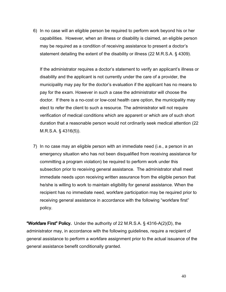6) In no case will an eligible person be required to perform work beyond his or her capabilities. However, when an illness or disability is claimed, an eligible person may be required as a condition of receiving assistance to present a doctor's statement detailing the extent of the disability or illness (22 M.R.S.A. § 4309).

If the administrator requires a doctor's statement to verify an applicant's illness or disability and the applicant is not currently under the care of a provider, the municipality may pay for the doctor's evaluation if the applicant has no means to pay for the exam. However in such a case the administrator will choose the doctor. If there is a no-cost or low-cost health care option, the municipality may elect to refer the client to such a resource. The administrator will not require verification of medical conditions which are apparent or which are of such short duration that a reasonable person would not ordinarily seek medical attention (22 M.R.S.A. § 4316(5)).

7) In no case may an eligible person with an immediate need (i.e., a person in an emergency situation who has not been disqualified from receiving assistance for committing a program violation) be required to perform work under this subsection prior to receiving general assistance. The administrator shall meet immediate needs upon receiving written assurance from the eligible person that he/she is willing to work to maintain eligibility for general assistance. When the recipient has no immediate need, workfare participation may be required prior to receiving general assistance in accordance with the following "workfare first" policy.

"Workfare First" Policy. Under the authority of 22 M.R.S.A.  $\S$  4316-A(2)(D), the administrator may, in accordance with the following guidelines, require a recipient of general assistance to perform a workfare assignment prior to the actual issuance of the general assistance benefit conditionally granted.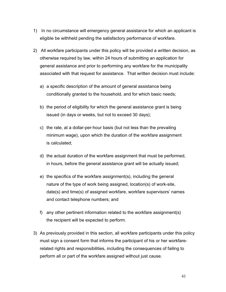- 1) In no circumstance will emergency general assistance for which an applicant is eligible be withheld pending the satisfactory performance of workfare.
- 2) All workfare participants under this policy will be provided a written decision, as otherwise required by law, within 24 hours of submitting an application for general assistance and prior to performing any workfare for the municipality associated with that request for assistance. That written decision must include:
	- a) a specific description of the amount of general assistance being conditionally granted to the household, and for which basic needs;
	- b) the period of eligibility for which the general assistance grant is being issued (in days or weeks, but not to exceed 30 days);
	- c) the rate, at a dollar-per-hour basis (but not less than the prevailing minimum wage), upon which the duration of the workfare assignment is calculated;
	- d) the actual duration of the workfare assignment that must be performed, in hours, before the general assistance grant will be actually issued;
	- e) the specifics of the workfare assignment(s), including the general nature of the type of work being assigned, location(s) of work-site, date(s) and time(s) of assigned workfare, workfare supervisors' names and contact telephone numbers; and
	- f) any other pertinent information related to the workfare assignment(s) the recipient will be expected to perform.
- 3) As previously provided in this section, all workfare participants under this policy must sign a consent form that informs the participant of his or her workfarerelated rights and responsibilities, including the consequences of failing to perform all or part of the workfare assigned without just cause.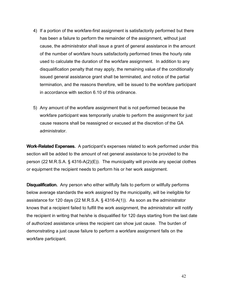- 4) If a portion of the workfare-first assignment is satisfactorily performed but there has been a failure to perform the remainder of the assignment, without just cause, the administrator shall issue a grant of general assistance in the amount of the number of workfare hours satisfactorily performed times the hourly rate used to calculate the duration of the workfare assignment. In addition to any disqualification penalty that may apply, the remaining value of the conditionally issued general assistance grant shall be terminated, and notice of the partial termination, and the reasons therefore, will be issued to the workfare participant in accordance with section 6.10 of this ordinance.
- 5) Any amount of the workfare assignment that is not performed because the workfare participant was temporarily unable to perform the assignment for just cause reasons shall be reassigned or excused at the discretion of the GA administrator.

Work-Related Expenses. A participant's expenses related to work performed under this section will be added to the amount of net general assistance to be provided to the person (22 M.R.S.A.  $\S$  4316-A(2)(E)). The municipality will provide any special clothes or equipment the recipient needs to perform his or her work assignment.

Disqualification. Any person who either willfully fails to perform or willfully performs below average standards the work assigned by the municipality, will be ineligible for assistance for 120 days (22 M.R.S.A. § 4316-A(1)). As soon as the administrator knows that a recipient failed to fulfill the work assignment, the administrator will notify the recipient in writing that he/she is disqualified for 120 days starting from the last date of authorized assistance unless the recipient can show just cause. The burden of demonstrating a just cause failure to perform a workfare assignment falls on the workfare participant.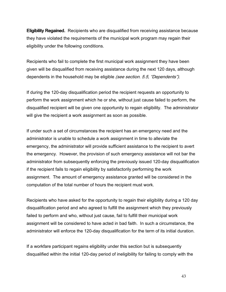Eligibility Regained. Recipients who are disqualified from receiving assistance because they have violated the requirements of the municipal work program may regain their eligibility under the following conditions.

Recipients who fail to complete the first municipal work assignment they have been given will be disqualified from receiving assistance during the next 120 days, although dependents in the household may be eligible (see section. 5.5, "Dependents").

If during the 120-day disqualification period the recipient requests an opportunity to perform the work assignment which he or she, without just cause failed to perform, the disqualified recipient will be given one opportunity to regain eligibility. The administrator will give the recipient a work assignment as soon as possible.

If under such a set of circumstances the recipient has an emergency need and the administrator is unable to schedule a work assignment in time to alleviate the emergency, the administrator will provide sufficient assistance to the recipient to avert the emergency. However, the provision of such emergency assistance will not bar the administrator from subsequently enforcing the previously issued 120-day disqualification if the recipient fails to regain eligibility by satisfactorily performing the work assignment. The amount of emergency assistance granted will be considered in the computation of the total number of hours the recipient must work.

Recipients who have asked for the opportunity to regain their eligibility during a 120 day disqualification period and who agreed to fulfill the assignment which they previously failed to perform and who, without just cause, fail to fulfill their municipal work assignment will be considered to have acted in bad faith. In such a circumstance, the administrator will enforce the 120-day disqualification for the term of its initial duration.

If a workfare participant regains eligibility under this section but is subsequently disqualified within the initial 120-day period of ineligibility for failing to comply with the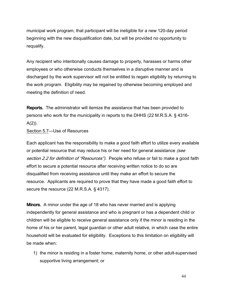municipal work program, that participant will be ineligible for a new 120-day period beginning with the new disqualification date, but will be provided no opportunity to requalify.

Any recipient who intentionally causes damage to property, harasses or harms other employees or who otherwise conducts themselves in a disruptive manner and is discharged by the work supervisor will not be entitled to regain eligibility by returning to the work program. Eligibility may be regained by otherwise becoming employed and meeting the definition of need.

**Reports.** The administrator will itemize the assistance that has been provided to persons who work for the municipality in reports to the DHHS (22 M.R.S.A. § 4316-  $A(2)$ ).

Section 5.7—Use of Resources

Each applicant has the responsibility to make a good faith effort to utilize every available or potential resource that may reduce his or her need for general assistance (see section 2.2 for definition of "Resources"). People who refuse or fail to make a good faith effort to secure a potential resource after receiving written notice to do so are disqualified from receiving assistance until they make an effort to secure the resource. Applicants are required to prove that they have made a good faith effort to secure the resource (22 M.R.S.A. § 4317).

**Minors.** A minor under the age of 18 who has never married and is applying independently for general assistance and who is pregnant or has a dependent child or children will be eligible to receive general assistance only if the minor is residing in the home of his or her parent, legal guardian or other adult relative, in which case the entire household will be evaluated for eligibility. Exceptions to this limitation on eligibility will be made when:

1) the minor is residing in a foster home, maternity home, or other adult-supervised supportive living arrangement; or

44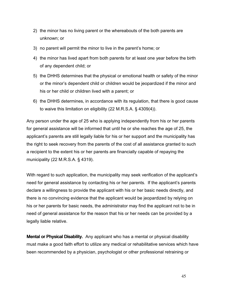- 2) the minor has no living parent or the whereabouts of the both parents are unknown; or
- 3) no parent will permit the minor to live in the parent's home; or
- 4) the minor has lived apart from both parents for at least one year before the birth of any dependent child; or
- 5) the DHHS determines that the physical or emotional health or safety of the minor or the minor's dependent child or children would be jeopardized if the minor and his or her child or children lived with a parent; or
- 6) the DHHS determines, in accordance with its regulation, that there is good cause to waive this limitation on eligibility (22 M.R.S.A. § 4309(4)).

Any person under the age of 25 who is applying independently from his or her parents for general assistance will be informed that until he or she reaches the age of 25, the applicant's parents are still legally liable for his or her support and the municipality has the right to seek recovery from the parents of the cost of all assistance granted to such a recipient to the extent his or her parents are financially capable of repaying the municipality (22 M.R.S.A. § 4319).

With regard to such application, the municipality may seek verification of the applicant's need for general assistance by contacting his or her parents. If the applicant's parents declare a willingness to provide the applicant with his or her basic needs directly, and there is no convincing evidence that the applicant would be jeopardized by relying on his or her parents for basic needs, the administrator may find the applicant not to be in need of general assistance for the reason that his or her needs can be provided by a legally liable relative.

**Mental or Physical Disability.** Any applicant who has a mental or physical disability must make a good faith effort to utilize any medical or rehabilitative services which have been recommended by a physician, psychologist or other professional retraining or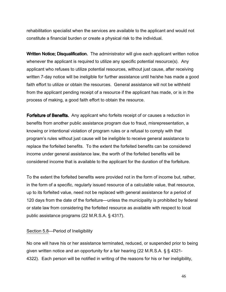rehabilitation specialist when the services are available to the applicant and would not constitute a financial burden or create a physical risk to the individual.

Written Notice; Disqualification. The administrator will give each applicant written notice whenever the applicant is required to utilize any specific potential resource(s). Any applicant who refuses to utilize potential resources, without just cause, after receiving written 7-day notice will be ineligible for further assistance until he/she has made a good faith effort to utilize or obtain the resources. General assistance will not be withheld from the applicant pending receipt of a resource if the applicant has made, or is in the process of making, a good faith effort to obtain the resource.

Forfeiture of Benefits. Any applicant who forfeits receipt of or causes a reduction in benefits from another public assistance program due to fraud, misrepresentation, a knowing or intentional violation of program rules or a refusal to comply with that program's rules without just cause will be ineligible to receive general assistance to replace the forfeited benefits. To the extent the forfeited benefits can be considered income under general assistance law, the worth of the forfeited benefits will be considered income that is available to the applicant for the duration of the forfeiture.

To the extent the forfeited benefits were provided not in the form of income but, rather, in the form of a specific, regularly issued resource of a calculable value, that resource, up to its forfeited value, need not be replaced with general assistance for a period of 120 days from the date of the forfeiture—unless the municipality is prohibited by federal or state law from considering the forfeited resource as available with respect to local public assistance programs (22 M.R.S.A. § 4317).

### Section 5.8—Period of Ineligibility

No one will have his or her assistance terminated, reduced, or suspended prior to being given written notice and an opportunity for a fair hearing (22 M.R.S.A. § § 4321- 4322). Each person will be notified in writing of the reasons for his or her ineligibility,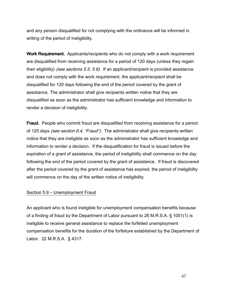and any person disqualified for not complying with the ordinance will be informed in writing of the period of ineligibility.

Work Requirement. Applicants/recipients who do not comply with a work requirement are disqualified from receiving assistance for a period of 120 days (unless they regain their eligibility) *(see sections 5.5, 5.6)*. If an applicant/recipient is provided assistance and does not comply with the work requirement, the applicant/recipient shall be disqualified for 120 days following the end of the period covered by the grant of assistance. The administrator shall give recipients written notice that they are disqualified as soon as the administrator has sufficient knowledge and information to render a decision of ineligibility.

**Fraud.** People who commit fraud are disqualified from receiving assistance for a period of 120 days *(see section 6.4, "Fraud")*. The administrator shall give recipients written notice that they are ineligible as soon as the administrator has sufficient knowledge and information to render a decision. If the disqualification for fraud is issued before the expiration of a grant of assistance, the period of ineligibility shall commence on the day following the end of the period covered by the grant of assistance. If fraud is discovered after the period covered by the grant of assistance has expired, the period of ineligibility will commence on the day of the written notice of ineligibility.

### Section 5.9 – Unemployment Fraud

An applicant who is found ineligible for unemployment compensation benefits because of a finding of fraud by the Department of Labor pursuant to 26 M.R.S.A. § 1051(1) is ineligible to receive general assistance to replace the forfeited unemployment compensation benefits for the duration of the forfeiture established by the Department of Labor. 22 M.R.S.A. § 4317.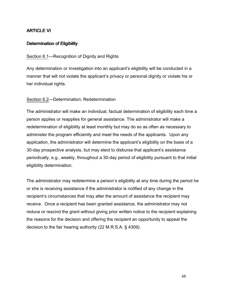# ARTICLE VI

# Determination of Eligibility

# Section 6.1—Recognition of Dignity and Rights

Any determination or investigation into an applicant's eligibility will be conducted in a manner that will not violate the applicant's privacy or personal dignity or violate his or her individual rights.

## Section 6.2—Determination; Redetermination

The administrator will make an individual, factual determination of eligibility each time a person applies or reapplies for general assistance. The administrator will make a redetermination of eligibility at least monthly but may do so as often as necessary to administer the program efficiently and meet the needs of the applicants. Upon any application, the administrator will determine the applicant's eligibility on the basis of a 30-day prospective analysis, but may elect to disburse that applicant's assistance periodically, e.g., weekly, throughout a 30-day period of eligibility pursuant to that initial eligibility determination.

The administrator may redetermine a person's eligibility at any time during the period he or she is receiving assistance if the administrator is notified of any change in the recipient's circumstances that may alter the amount of assistance the recipient may receive. Once a recipient has been granted assistance, the administrator may not reduce or rescind the grant without giving prior written notice to the recipient explaining the reasons for the decision and offering the recipient an opportunity to appeal the decision to the fair hearing authority (22 M.R.S.A. § 4309).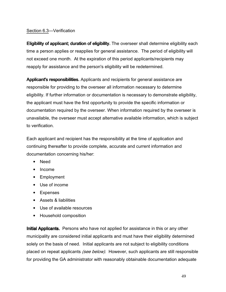# Section 6.3—Verification

**Eligibility of applicant; duration of eligibility.** The overseer shall determine eligibility each time a person applies or reapplies for general assistance. The period of eligibility will not exceed one month. At the expiration of this period applicants/recipients may reapply for assistance and the person's eligibility will be redetermined.

**Applicant's responsibilities.** Applicants and recipients for general assistance are responsible for providing to the overseer all information necessary to determine eligibility. If further information or documentation is necessary to demonstrate eligibility, the applicant must have the first opportunity to provide the specific information or documentation required by the overseer. When information required by the overseer is unavailable, the overseer must accept alternative available information, which is subject to verification.

Each applicant and recipient has the responsibility at the time of application and continuing thereafter to provide complete, accurate and current information and documentation concerning his/her:

- Need
- Income
- Employment
- Use of income
- Expenses
- Assets & liabilities
- Use of available resources
- Household composition

**Initial Applicants.** Persons who have not applied for assistance in this or any other municipality are considered initial applicants and must have their eligibility determined solely on the basis of need. Initial applicants are not subject to eligibility conditions placed on repeat applicants *(see below)*. However, such applicants are still responsible for providing the GA administrator with reasonably obtainable documentation adequate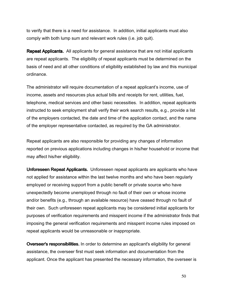to verify that there is a need for assistance. In addition, initial applicants must also comply with both lump sum and relevant work rules (i.e. job quit).

**Repeat Applicants.** All applicants for general assistance that are not initial applicants are repeat applicants. The eligibility of repeat applicants must be determined on the basis of need and all other conditions of eligibility established by law and this municipal ordinance.

The administrator will require documentation of a repeat applicant's income, use of income, assets and resources plus actual bills and receipts for rent, utilities, fuel, telephone, medical services and other basic necessities. In addition, repeat applicants instructed to seek employment shall verify their work search results, e.g., provide a list of the employers contacted, the date and time of the application contact, and the name of the employer representative contacted, as required by the GA administrator.

Repeat applicants are also responsible for providing any changes of information reported on previous applications including changes in his/her household or income that may affect his/her eligibility.

Unforeseen Repeat Applicants. Unforeseen repeat applicants are applicants who have not applied for assistance within the last twelve months and who have been regularly employed or receiving support from a public benefit or private source who have unexpectedly become unemployed through no fault of their own or whose income and/or benefits (e.g., through an available resource) have ceased through no fault of their own. Such unforeseen repeat applicants may be considered initial applicants for purposes of verification requirements and misspent income if the administrator finds that imposing the general verification requirements and misspent income rules imposed on repeat applicants would be unreasonable or inappropriate.

Overseer's responsibilities. In order to determine an applicant's eligibility for general assistance, the overseer first must seek information and documentation from the applicant. Once the applicant has presented the necessary information, the overseer is

50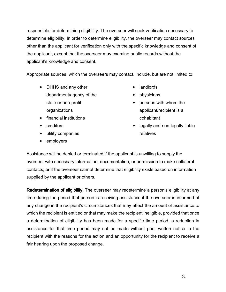responsible for determining eligibility. The overseer will seek verification necessary to determine eligibility. In order to determine eligibility, the overseer may contact sources other than the applicant for verification only with the specific knowledge and consent of the applicant, except that the overseer may examine public records without the applicant's knowledge and consent.

Appropriate sources, which the overseers may contact, include, but are not limited to:

- DHHS and any other department/agency of the state or non-profit organizations
- financial institutions
- creditors
- utility companies
- employers
- landlords
- physicians
- persons with whom the applicant/recipient is a cohabitant
- legally and non-legally liable relatives

Assistance will be denied or terminated if the applicant is unwilling to supply the overseer with necessary information, documentation, or permission to make collateral contacts, or if the overseer cannot determine that eligibility exists based on information supplied by the applicant or others.

Redetermination of eligibility. The overseer may redetermine a person's eligibility at any time during the period that person is receiving assistance if the overseer is informed of any change in the recipient's circumstances that may affect the amount of assistance to which the recipient is entitled or that may make the recipient ineligible, provided that once a determination of eligibility has been made for a specific time period, a reduction in assistance for that time period may not be made without prior written notice to the recipient with the reasons for the action and an opportunity for the recipient to receive a fair hearing upon the proposed change.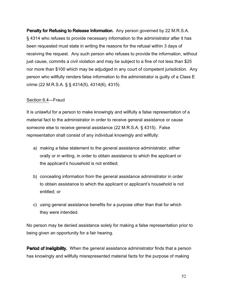Penalty for Refusing to Release Information. Any person governed by 22 M.R.S.A. § 4314 who refuses to provide necessary information to the administrator after it has been requested must state in writing the reasons for the refusal within 3 days of receiving the request. Any such person who refuses to provide the information, without just cause, commits a civil violation and may be subject to a fine of not less than \$25 nor more than \$100 which may be adjudged in any court of competent jurisdiction. Any person who willfully renders false information to the administrator is guilty of a Class E crime (22 M.R.S.A. § § 4314(5), 4314(6), 4315).

### Section 6.4—Fraud

It is unlawful for a person to make knowingly and willfully a false representation of a material fact to the administrator in order to receive general assistance or cause someone else to receive general assistance (22 M.R.S.A. § 4315). False representation shall consist of any individual knowingly and willfully:

- a) making a false statement to the general assistance administrator, either orally or in writing, in order to obtain assistance to which the applicant or the applicant's household is not entitled;
- b) concealing information from the general assistance administrator in order to obtain assistance to which the applicant or applicant's household is not entitled; or
- c) using general assistance benefits for a purpose other than that for which they were intended.

No person may be denied assistance solely for making a false representation prior to being given an opportunity for a fair hearing.

**Period of Ineligibility.** When the general assistance administrator finds that a person has knowingly and willfully misrepresented material facts for the purpose of making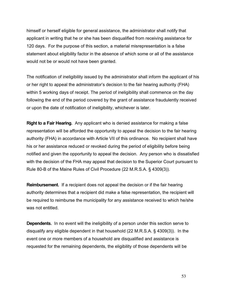himself or herself eligible for general assistance, the administrator shall notify that applicant in writing that he or she has been disqualified from receiving assistance for 120 days. For the purpose of this section, a material misrepresentation is a false statement about eligibility factor in the absence of which some or all of the assistance would not be or would not have been granted.

The notification of ineligibility issued by the administrator shall inform the applicant of his or her right to appeal the administrator's decision to the fair hearing authority (FHA) within 5 working days of receipt. The period of ineligibility shall commence on the day following the end of the period covered by the grant of assistance fraudulently received or upon the date of notification of ineligibility, whichever is later.

Right to a Fair Hearing. Any applicant who is denied assistance for making a false representation will be afforded the opportunity to appeal the decision to the fair hearing authority (FHA) in accordance with Article VII of this ordinance. No recipient shall have his or her assistance reduced or revoked during the period of eligibility before being notified and given the opportunity to appeal the decision. Any person who is dissatisfied with the decision of the FHA may appeal that decision to the Superior Court pursuant to Rule 80-B of the Maine Rules of Civil Procedure (22 M.R.S.A. § 4309(3)).

**Reimbursement.** If a recipient does not appeal the decision or if the fair hearing authority determines that a recipient did make a false representation, the recipient will be required to reimburse the municipality for any assistance received to which he/she was not entitled.

**Dependents.** In no event will the ineligibility of a person under this section serve to disqualify any eligible dependent in that household (22 M.R.S.A. § 4309(3)). In the event one or more members of a household are disqualified and assistance is requested for the remaining dependents, the eligibility of those dependents will be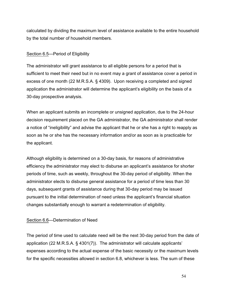calculated by dividing the maximum level of assistance available to the entire household by the total number of household members.

## Section 6.5—Period of Eligibility

The administrator will grant assistance to all eligible persons for a period that is sufficient to meet their need but in no event may a grant of assistance cover a period in excess of one month (22 M.R.S.A. § 4309). Upon receiving a completed and signed application the administrator will determine the applicant's eligibility on the basis of a 30-day prospective analysis.

When an applicant submits an incomplete or unsigned application, due to the 24-hour decision requirement placed on the GA administrator, the GA administrator shall render a notice of "ineligibility" and advise the applicant that he or she has a right to reapply as soon as he or she has the necessary information and/or as soon as is practicable for the applicant.

Although eligibility is determined on a 30-day basis, for reasons of administrative efficiency the administrator may elect to disburse an applicant's assistance for shorter periods of time, such as weekly, throughout the 30-day period of eligibility. When the administrator elects to disburse general assistance for a period of time less than 30 days, subsequent grants of assistance during that 30-day period may be issued pursuant to the initial determination of need unless the applicant's financial situation changes substantially enough to warrant a redetermination of eligibility.

### Section 6.6—Determination of Need

The period of time used to calculate need will be the next 30-day period from the date of application (22 M.R.S.A. § 4301(7)). The administrator will calculate applicants' expenses according to the actual expense of the basic necessity or the maximum levels for the specific necessities allowed in section 6.8, whichever is less. The sum of these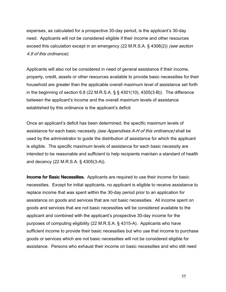expenses, as calculated for a prospective 30-day period, is the applicant's 30-day need. Applicants will not be considered eligible if their income and other resources exceed this calculation except in an emergency (22 M.R.S.A. § 4308(2)) (see section 4.9 of this ordinance).

Applicants will also not be considered in need of general assistance if their income, property, credit, assets or other resources available to provide basic necessities for their household are greater than the applicable overall maximum level of assistance set forth in the beginning of section 6.8 (22 M.R.S.A. § § 4301(10), 4305(3-B)). The difference between the applicant's income and the overall maximum levels of assistance established by this ordinance is the applicant's deficit.

Once an applicant's deficit has been determined, the specific maximum levels of assistance for each basic necessity *(see Appendixes A-H of this ordinance)* shall be used by the administrator to guide the distribution of assistance for which the applicant is eligible. The specific maximum levels of assistance for each basic necessity are intended to be reasonable and sufficient to help recipients maintain a standard of health and decency (22 M.R.S.A. § 4305(3-A)).

Income for Basic Necessities. Applicants are required to use their income for basic necessities. Except for initial applicants, no applicant is eligible to receive assistance to replace income that was spent within the 30-day period prior to an application for assistance on goods and services that are not basic necessities. All income spent on goods and services that are not basic necessities will be considered available to the applicant and combined with the applicant's prospective 30-day income for the purposes of computing eligibility (22 M.R.S.A. § 4315-A). Applicants who have sufficient income to provide their basic necessities but who use that income to purchase goods or services which are not basic necessities will not be considered eligible for assistance. Persons who exhaust their income on basic necessities and who still need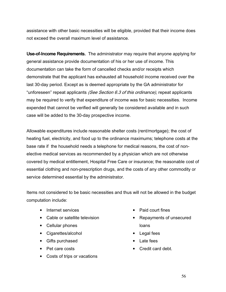assistance with other basic necessities will be eligible, provided that their income does not exceed the overall maximum level of assistance.

Use-of-Income Requirements. The administrator may require that anyone applying for general assistance provide documentation of his or her use of income. This documentation can take the form of cancelled checks and/or receipts which demonstrate that the applicant has exhausted all household income received over the last 30-day period. Except as is deemed appropriate by the GA administrator for "unforeseen" repeat applicants (See Section 6.3 of this ordinance), repeat applicants may be required to verify that expenditure of income was for basic necessities. Income expended that cannot be verified will generally be considered available and in such case will be added to the 30-day prospective income.

Allowable expenditures include reasonable shelter costs (rent/mortgage); the cost of heating fuel, electricity, and food up to the ordinance maximums; telephone costs at the base rate if the household needs a telephone for medical reasons, the cost of nonelective medical services as recommended by a physician which are not otherwise covered by medical entitlement, Hospital Free Care or insurance; the reasonable cost of essential clothing and non-prescription drugs, and the costs of any other commodity or service determined essential by the administrator.

Items not considered to be basic necessities and thus will not be allowed in the budget computation include:

- Internet services
- Cable or satellite television
- Cellular phones
- Cigarettes/alcohol
- Gifts purchased
- Pet care costs
- Costs of trips or vacations
- Paid court fines
- Repayments of unsecured loans
- Legal fees
- Late fees
- Credit card debt.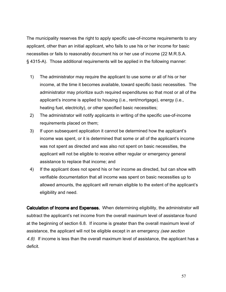The municipality reserves the right to apply specific use-of-income requirements to any applicant, other than an initial applicant, who fails to use his or her income for basic necessities or fails to reasonably document his or her use of income (22 M.R.S.A. § 4315-A). Those additional requirements will be applied in the following manner:

- 1) The administrator may require the applicant to use some or all of his or her income, at the time it becomes available, toward specific basic necessities. The administrator may prioritize such required expenditures so that most or all of the applicant's income is applied to housing (i.e., rent/mortgage), energy (i.e., heating fuel, electricity), or other specified basic necessities;
- 2) The administrator will notify applicants in writing of the specific use-of-income requirements placed on them;
- 3) If upon subsequent application it cannot be determined how the applicant's income was spent, or it is determined that some or all of the applicant's income was not spent as directed and was also not spent on basic necessities, the applicant will not be eligible to receive either regular or emergency general assistance to replace that income; and
- 4) If the applicant does not spend his or her income as directed, but can show with verifiable documentation that all income was spent on basic necessities up to allowed amounts, the applicant will remain eligible to the extent of the applicant's eligibility and need.

Calculation of Income and Expenses. When determining eligibility, the administrator will subtract the applicant's net income from the overall maximum level of assistance found at the beginning of section 6.8. If income is greater than the overall maximum level of assistance, the applicant will not be eligible except in an emergency (see section 4.9). If income is less than the overall maximum level of assistance, the applicant has a deficit.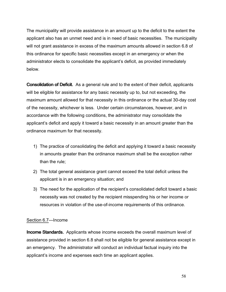The municipality will provide assistance in an amount up to the deficit to the extent the applicant also has an unmet need and is in need of basic necessities. The municipality will not grant assistance in excess of the maximum amounts allowed in section 6.8 of this ordinance for specific basic necessities except in an emergency or when the administrator elects to consolidate the applicant's deficit, as provided immediately below.

**Consolidation of Deficit.** As a general rule and to the extent of their deficit, applicants will be eligible for assistance for any basic necessity up to, but not exceeding, the maximum amount allowed for that necessity in this ordinance or the actual 30-day cost of the necessity, whichever is less. Under certain circumstances, however, and in accordance with the following conditions, the administrator may consolidate the applicant's deficit and apply it toward a basic necessity in an amount greater than the ordinance maximum for that necessity.

- 1) The practice of consolidating the deficit and applying it toward a basic necessity in amounts greater than the ordinance maximum shall be the exception rather than the rule;
- 2) The total general assistance grant cannot exceed the total deficit unless the applicant is in an emergency situation; and
- 3) The need for the application of the recipient's consolidated deficit toward a basic necessity was not created by the recipient misspending his or her income or resources in violation of the use-of-income requirements of this ordinance.

## Section 6.7—Income

**Income Standards.** Applicants whose income exceeds the overall maximum level of assistance provided in section 6.8 shall not be eligible for general assistance except in an emergency. The administrator will conduct an individual factual inquiry into the applicant's income and expenses each time an applicant applies.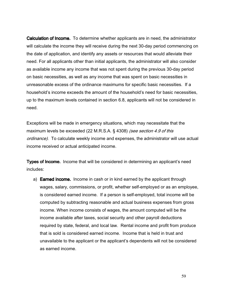**Calculation of Income.** To determine whether applicants are in need, the administrator will calculate the income they will receive during the next 30-day period commencing on the date of application, and identify any assets or resources that would alleviate their need. For all applicants other than initial applicants, the administrator will also consider as available income any income that was not spent during the previous 30-day period on basic necessities, as well as any income that was spent on basic necessities in unreasonable excess of the ordinance maximums for specific basic necessities. If a household's income exceeds the amount of the household's need for basic necessities, up to the maximum levels contained in section 6.8, applicants will not be considered in need.

Exceptions will be made in emergency situations, which may necessitate that the maximum levels be exceeded (22 M.R.S.A. § 4308) (see section 4.9 of this ordinance). To calculate weekly income and expenses, the administrator will use actual income received or actual anticipated income.

**Types of Income.** Income that will be considered in determining an applicant's need includes:

a) **Earned income.** Income in cash or in kind earned by the applicant through wages, salary, commissions, or profit, whether self-employed or as an employee, is considered earned income. If a person is self-employed, total income will be computed by subtracting reasonable and actual business expenses from gross income. When income consists of wages, the amount computed will be the income available after taxes, social security and other payroll deductions required by state, federal, and local law. Rental income and profit from produce that is sold is considered earned income. Income that is held in trust and unavailable to the applicant or the applicant's dependents will not be considered as earned income.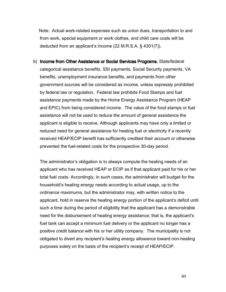Note: Actual work-related expenses such as union dues, transportation to and from work, special equipment or work clothes, and child care costs will be deducted from an applicant's income (22 M.R.S.A. § 4301(7)).

b) Income from Other Assistance or Social Services Programs. State/federal categorical assistance benefits, SSI payments, Social Security payments, VA benefits, unemployment insurance benefits, and payments from other government sources will be considered as income, unless expressly prohibited by federal law or regulation. Federal law prohibits Food Stamps and fuel assistance payments made by the Home Energy Assistance Program (HEAP and EPIC) from being considered income. The value of the food stamps or fuel assistance will not be used to reduce the amount of general assistance the applicant is eligible to receive. Although applicants may have only a limited or reduced need for general assistance for heating fuel or electricity if a recently received HEAP/ECIP benefit has sufficiently credited their account or otherwise prevented the fuel-related costs for the prospective 30-day period.

The administrator's obligation is to always compute the heating needs of an applicant who has received HEAP or ECIP as if that applicant paid for his or her total fuel costs. Accordingly, in such cases, the administrator will budget for the household's heating energy needs according to actual usage, up to the ordinance maximums, but the administrator may, with written notice to the applicant, hold in reserve the heating energy portion of the applicant's deficit until such a time during the period of eligibility that the applicant has a demonstrable need for the disbursement of heating energy assistance; that is, the applicant's fuel tank can accept a minimum fuel delivery or the applicant no longer has a positive credit balance with his or her utility company. The municipality is not obligated to divert any recipient's heating energy allowance toward non-heating purposes solely on the basis of the recipient's receipt of HEAP/ECIP.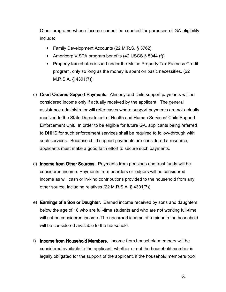Other programs whose income cannot be counted for purposes of GA eligibility include:

- Family Development Accounts (22 M.R.S. § 3762)
- Americorp VISTA program benefits (42 USCS § 5044 (f))
- Property tax rebates issued under the Maine Property Tax Fairness Credit program, only so long as the money is spent on basic necessities. (22 M.R.S.A. § 4301(7))
- c) Court-Ordered Support Payments. Alimony and child support payments will be considered income only if actually received by the applicant. The general assistance administrator will refer cases where support payments are not actually received to the State Department of Health and Human Services' Child Support Enforcement Unit. In order to be eligible for future GA, applicants being referred to DHHS for such enforcement services shall be required to follow-through with such services. Because child support payments are considered a resource, applicants must make a good faith effort to secure such payments.
- d) **Income from Other Sources.** Payments from pensions and trust funds will be considered income. Payments from boarders or lodgers will be considered income as will cash or in-kind contributions provided to the household from any other source, including relatives (22 M.R.S.A. § 4301(7)).
- e) **Earnings of a Son or Daughter.** Earned income received by sons and daughters below the age of 18 who are full-time students and who are not working full-time will not be considered income. The unearned income of a minor in the household will be considered available to the household.
- f) Income from Household Members. Income from household members will be considered available to the applicant, whether or not the household member is legally obligated for the support of the applicant, if the household members pool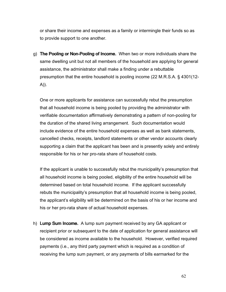or share their income and expenses as a family or intermingle their funds so as to provide support to one another.

g) The Pooling or Non-Pooling of Income. When two or more individuals share the same dwelling unit but not all members of the household are applying for general assistance, the administrator shall make a finding under a rebuttable presumption that the entire household is pooling income (22 M.R.S.A. § 4301(12- A)).

One or more applicants for assistance can successfully rebut the presumption that all household income is being pooled by providing the administrator with verifiable documentation affirmatively demonstrating a pattern of non-pooling for the duration of the shared living arrangement. Such documentation would include evidence of the entire household expenses as well as bank statements, cancelled checks, receipts, landlord statements or other vendor accounts clearly supporting a claim that the applicant has been and is presently solely and entirely responsible for his or her pro-rata share of household costs.

If the applicant is unable to successfully rebut the municipality's presumption that all household income is being pooled, eligibility of the entire household will be determined based on total household income. If the applicant successfully rebuts the municipality's presumption that all household income is being pooled, the applicant's eligibility will be determined on the basis of his or her income and his or her pro-rata share of actual household expenses.

h) **Lump Sum Income.** A lump sum payment received by any GA applicant or recipient prior or subsequent to the date of application for general assistance will be considered as income available to the household. However, verified required payments (i.e., any third party payment which is required as a condition of receiving the lump sum payment, or any payments of bills earmarked for the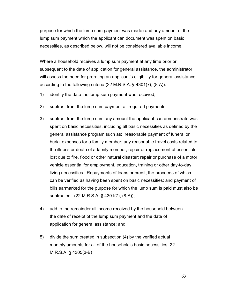purpose for which the lump sum payment was made) and any amount of the lump sum payment which the applicant can document was spent on basic necessities, as described below, will not be considered available income.

Where a household receives a lump sum payment at any time prior or subsequent to the date of application for general assistance, the administrator will assess the need for prorating an applicant's eligibility for general assistance according to the following criteria (22 M.R.S.A. § 4301(7), (8-A)):

- 1) identify the date the lump sum payment was received;
- 2) subtract from the lump sum payment all required payments;
- 3) subtract from the lump sum any amount the applicant can demonstrate was spent on basic necessities, including all basic necessities as defined by the general assistance program such as: reasonable payment of funeral or burial expenses for a family member; any reasonable travel costs related to the illness or death of a family member; repair or replacement of essentials lost due to fire, flood or other natural disaster; repair or purchase of a motor vehicle essential for employment, education, training or other day-to-day living necessities. Repayments of loans or credit, the proceeds of which can be verified as having been spent on basic necessities; and payment of bills earmarked for the purpose for which the lump sum is paid must also be subtracted. (22 M.R.S.A. § 4301(7), (8-A));
- 4) add to the remainder all income received by the household between the date of receipt of the lump sum payment and the date of application for general assistance; and
- 5) divide the sum created in subsection (4) by the verified actual monthly amounts for all of the household's basic necessities. 22 M.R.S.A. § 4305(3-B)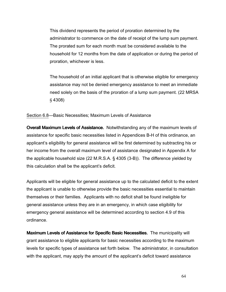This dividend represents the period of proration determined by the administrator to commence on the date of receipt of the lump sum payment. The prorated sum for each month must be considered available to the household for 12 months from the date of application or during the period of proration, whichever is less.

The household of an initial applicant that is otherwise eligible for emergency assistance may not be denied emergency assistance to meet an immediate need solely on the basis of the proration of a lump sum payment. (22 MRSA § 4308)

Section 6.8—Basic Necessities; Maximum Levels of Assistance

Overall Maximum Levels of Assistance. Notwithstanding any of the maximum levels of assistance for specific basic necessities listed in Appendices B-H of this ordinance, an applicant's eligibility for general assistance will be first determined by subtracting his or her income from the overall maximum level of assistance designated in Appendix A for the applicable household size (22 M.R.S.A. § 4305 (3-B)). The difference yielded by this calculation shall be the applicant's deficit.

Applicants will be eligible for general assistance up to the calculated deficit to the extent the applicant is unable to otherwise provide the basic necessities essential to maintain themselves or their families. Applicants with no deficit shall be found ineligible for general assistance unless they are in an emergency, in which case eligibility for emergency general assistance will be determined according to section 4.9 of this ordinance.

Maximum Levels of Assistance for Specific Basic Necessities. The municipality will grant assistance to eligible applicants for basic necessities according to the maximum levels for specific types of assistance set forth below. The administrator, in consultation with the applicant, may apply the amount of the applicant's deficit toward assistance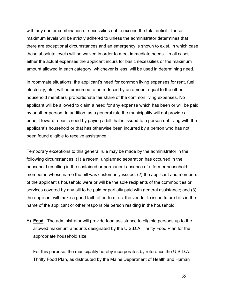with any one or combination of necessities not to exceed the total deficit. These maximum levels will be strictly adhered to unless the administrator determines that there are exceptional circumstances and an emergency is shown to exist, in which case these absolute levels will be waived in order to meet immediate needs. In all cases either the actual expenses the applicant incurs for basic necessities or the maximum amount allowed in each category, whichever is less, will be used in determining need.

In roommate situations, the applicant's need for common living expenses for rent, fuel, electricity, etc., will be presumed to be reduced by an amount equal to the other household members' proportionate fair share of the common living expenses. No applicant will be allowed to claim a need for any expense which has been or will be paid by another person. In addition, as a general rule the municipality will not provide a benefit toward a basic need by paying a bill that is issued to a person not living with the applicant's household or that has otherwise been incurred by a person who has not been found eligible to receive assistance.

Temporary exceptions to this general rule may be made by the administrator in the following circumstances: (1) a recent, unplanned separation has occurred in the household resulting in the sustained or permanent absence of a former household member in whose name the bill was customarily issued; (2) the applicant and members of the applicant's household were or will be the sole recipients of the commodities or services covered by any bill to be paid or partially paid with general assistance; and (3) the applicant will make a good faith effort to direct the vendor to issue future bills in the name of the applicant or other responsible person residing in the household.

A) **Food.** The administrator will provide food assistance to eligible persons up to the allowed maximum amounts designated by the U.S.D.A. Thrifty Food Plan for the appropriate household size.

For this purpose, the municipality hereby incorporates by reference the U.S.D.A. Thrifty Food Plan, as distributed by the Maine Department of Health and Human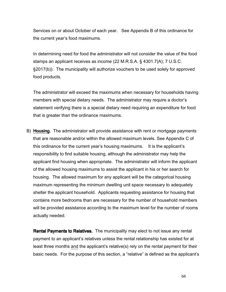Services on or about October of each year. See Appendix B of this ordinance for the current year's food maximums.

In determining need for food the administrator will not consider the value of the food stamps an applicant receives as income (22 M.R.S.A. § 4301.7(A); 7 U.S.C. §2017(b)). The municipality will authorize vouchers to be used solely for approved food products.

The administrator will exceed the maximums when necessary for households having members with special dietary needs. The administrator may require a doctor's statement verifying there is a special dietary need requiring an expenditure for food that is greater than the ordinance maximums.

B) **Housing.** The administrator will provide assistance with rent or mortgage payments that are reasonable and/or within the allowed maximum levels. See Appendix C of this ordinance for the current year's housing maximums. It is the applicant's responsibility to find suitable housing, although the administrator may help the applicant find housing when appropriate. The administrator will inform the applicant of the allowed housing maximums to assist the applicant in his or her search for housing. The allowed maximum for any applicant will be the categorical housing maximum representing the minimum dwelling unit space necessary to adequately shelter the applicant household. Applicants requesting assistance for housing that contains more bedrooms than are necessary for the number of household members will be provided assistance according to the maximum level for the number of rooms actually needed.

**Rental Payments to Relatives.** The municipality may elect to not issue any rental payment to an applicant's relatives unless the rental relationship has existed for at least three months and the applicant's relative(s) rely on the rental payment for their basic needs. For the purpose of this section, a "relative" is defined as the applicant's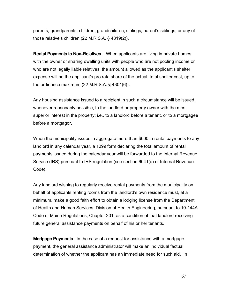parents, grandparents, children, grandchildren, siblings, parent's siblings, or any of those relative's children (22 M.R.S.A. § 4319(2)).

**Rental Payments to Non-Relatives.** When applicants are living in private homes with the owner or sharing dwelling units with people who are not pooling income or who are not legally liable relatives, the amount allowed as the applicant's shelter expense will be the applicant's pro rata share of the actual, total shelter cost, up to the ordinance maximum (22 M.R.S.A. § 4301(6)).

Any housing assistance issued to a recipient in such a circumstance will be issued, whenever reasonably possible, to the landlord or property owner with the most superior interest in the property; i.e., to a landlord before a tenant, or to a mortgagee before a mortgagor.

When the municipality issues in aggregate more than \$600 in rental payments to any landlord in any calendar year, a 1099 form declaring the total amount of rental payments issued during the calendar year will be forwarded to the Internal Revenue Service (IRS) pursuant to IRS regulation (see section 6041(a) of Internal Revenue Code).

Any landlord wishing to regularly receive rental payments from the municipality on behalf of applicants renting rooms from the landlord's own residence must, at a minimum, make a good faith effort to obtain a lodging license from the Department of Health and Human Services, Division of Health Engineering, pursuant to 10-144A Code of Maine Regulations, Chapter 201, as a condition of that landlord receiving future general assistance payments on behalf of his or her tenants.

**Mortgage Payments.** In the case of a request for assistance with a mortgage payment, the general assistance administrator will make an individual factual determination of whether the applicant has an immediate need for such aid. In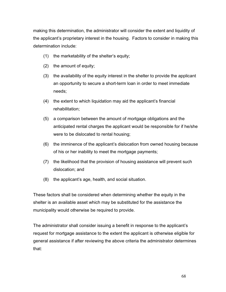making this determination, the administrator will consider the extent and liquidity of the applicant's proprietary interest in the housing. Factors to consider in making this determination include:

- (1) the marketability of the shelter's equity;
- (2) the amount of equity;
- (3) the availability of the equity interest in the shelter to provide the applicant an opportunity to secure a short-term loan in order to meet immediate needs;
- (4) the extent to which liquidation may aid the applicant's financial rehabilitation;
- (5) a comparison between the amount of mortgage obligations and the anticipated rental charges the applicant would be responsible for if he/she were to be dislocated to rental housing;
- (6) the imminence of the applicant's dislocation from owned housing because of his or her inability to meet the mortgage payments;
- (7) the likelihood that the provision of housing assistance will prevent such dislocation; and
- (8) the applicant's age, health, and social situation.

These factors shall be considered when determining whether the equity in the shelter is an available asset which may be substituted for the assistance the municipality would otherwise be required to provide.

The administrator shall consider issuing a benefit in response to the applicant's request for mortgage assistance to the extent the applicant is otherwise eligible for general assistance if after reviewing the above criteria the administrator determines that: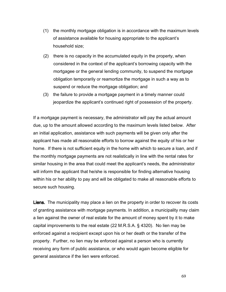- (1) the monthly mortgage obligation is in accordance with the maximum levels of assistance available for housing appropriate to the applicant's household size;
- (2) there is no capacity in the accumulated equity in the property, when considered in the context of the applicant's borrowing capacity with the mortgagee or the general lending community, to suspend the mortgage obligation temporarily or reamortize the mortgage in such a way as to suspend or reduce the mortgage obligation; and
- (3) the failure to provide a mortgage payment in a timely manner could jeopardize the applicant's continued right of possession of the property.

If a mortgage payment is necessary, the administrator will pay the actual amount due, up to the amount allowed according to the maximum levels listed below. After an initial application, assistance with such payments will be given only after the applicant has made all reasonable efforts to borrow against the equity of his or her home. If there is not sufficient equity in the home with which to secure a loan, and if the monthly mortgage payments are not realistically in line with the rental rates for similar housing in the area that could meet the applicant's needs, the administrator will inform the applicant that he/she is responsible for finding alternative housing within his or her ability to pay and will be obligated to make all reasonable efforts to secure such housing.

Liens. The municipality may place a lien on the property in order to recover its costs of granting assistance with mortgage payments. In addition, a municipality may claim a lien against the owner of real estate for the amount of money spent by it to make capital improvements to the real estate (22 M.R.S.A. § 4320). No lien may be enforced against a recipient except upon his or her death or the transfer of the property. Further, no lien may be enforced against a person who is currently receiving any form of public assistance, or who would again become eligible for general assistance if the lien were enforced.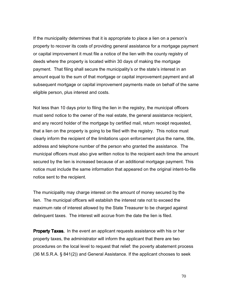If the municipality determines that it is appropriate to place a lien on a person's property to recover its costs of providing general assistance for a mortgage payment or capital improvement it must file a notice of the lien with the county registry of deeds where the property is located within 30 days of making the mortgage payment. That filing shall secure the municipality's or the state's interest in an amount equal to the sum of that mortgage or capital improvement payment and all subsequent mortgage or capital improvement payments made on behalf of the same eligible person, plus interest and costs.

Not less than 10 days prior to filing the lien in the registry, the municipal officers must send notice to the owner of the real estate, the general assistance recipient, and any record holder of the mortgage by certified mail, return receipt requested, that a lien on the property is going to be filed with the registry. This notice must clearly inform the recipient of the limitations upon enforcement plus the name, title, address and telephone number of the person who granted the assistance. The municipal officers must also give written notice to the recipient each time the amount secured by the lien is increased because of an additional mortgage payment. This notice must include the same information that appeared on the original intent-to-file notice sent to the recipient.

The municipality may charge interest on the amount of money secured by the lien. The municipal officers will establish the interest rate not to exceed the maximum rate of interest allowed by the State Treasurer to be charged against delinquent taxes. The interest will accrue from the date the lien is filed.

**Property Taxes.** In the event an applicant requests assistance with his or her property taxes, the administrator will inform the applicant that there are two procedures on the local level to request that relief: the poverty abatement process (36 M.S.R.A. § 841(2)) and General Assistance. If the applicant chooses to seek

70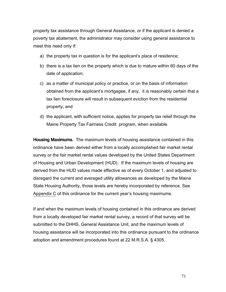property tax assistance through General Assistance, or if the applicant is denied a poverty tax abatement, the administrator may consider using general assistance to meet this need only if:

- a) the property tax in question is for the applicant's place of residence;
- b) there is a tax lien on the property which is due to mature within 60 days of the date of application;
- c) as a matter of municipal policy or practice, or on the basis of information obtained from the applicant's mortgagee, if any, it is reasonably certain that a tax lien foreclosure will result in subsequent eviction from the residential property; and
- d) the applicant, with sufficient notice, applies for property tax relief through the Maine Property Tax Fairness Credit program, when available.

Housing Maximums. The maximum levels of housing assistance contained in this ordinance have been derived either from a locally accomplished fair market rental survey or the fair market rental values developed by the United States Department of Housing and Urban Development (HUD). If the maximum levels of housing are derived from the HUD values made effective as of every October 1, and adjusted to disregard the current and averaged utility allowances as developed by the Maine State Housing Authority, those levels are hereby incorporated by reference. See Appendix C of this ordinance for the current year's housing maximums.

If and when the maximum levels of housing contained in this ordinance are derived from a locally developed fair market rental survey, a record of that survey will be submitted to the DHHS, General Assistance Unit, and the maximum levels of housing assistance will be incorporated into this ordinance pursuant to the ordinance adoption and amendment procedures found at 22 M.R.S.A. § 4305.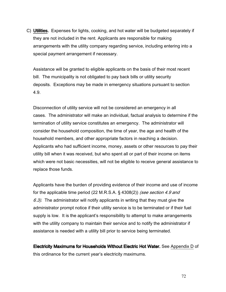C) Utilities. Expenses for lights, cooking, and hot water will be budgeted separately if they are not included in the rent. Applicants are responsible for making arrangements with the utility company regarding service, including entering into a special payment arrangement if necessary.

Assistance will be granted to eligible applicants on the basis of their most recent bill. The municipality is not obligated to pay back bills or utility security deposits. Exceptions may be made in emergency situations pursuant to section 4.9.

Disconnection of utility service will not be considered an emergency in all cases. The administrator will make an individual, factual analysis to determine if the termination of utility service constitutes an emergency. The administrator will consider the household composition, the time of year, the age and health of the household members, and other appropriate factors in reaching a decision. Applicants who had sufficient income, money, assets or other resources to pay their utility bill when it was received, but who spent all or part of their income on items which were not basic necessities, will not be eligible to receive general assistance to replace those funds.

Applicants have the burden of providing evidence of their income and use of income for the applicable time period (22 M.R.S.A. § 4308(2)) *(see section 4.9 and* 6.3). The administrator will notify applicants in writing that they must give the administrator prompt notice if their utility service is to be terminated or if their fuel supply is low. It is the applicant's responsibility to attempt to make arrangements with the utility company to maintain their service and to notify the administrator if assistance is needed with a utility bill prior to service being terminated.

Electricity Maximums for Households Without Electric Hot Water. See Appendix D of this ordinance for the current year's electricity maximums.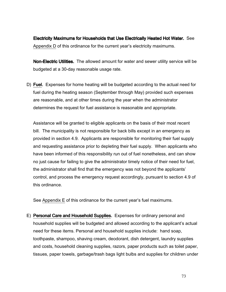Electricity Maximums for Households that Use Electrically Heated Hot Water. See Appendix D of this ordinance for the current year's electricity maximums.

**Non-Electric Utilities.** The allowed amount for water and sewer utility service will be budgeted at a 30-day reasonable usage rate.

D) **Fuel.** Expenses for home heating will be budgeted according to the actual need for fuel during the heating season (September through May) provided such expenses are reasonable, and at other times during the year when the administrator determines the request for fuel assistance is reasonable and appropriate.

Assistance will be granted to eligible applicants on the basis of their most recent bill. The municipality is not responsible for back bills except in an emergency as provided in section 4.9. Applicants are responsible for monitoring their fuel supply and requesting assistance prior to depleting their fuel supply. When applicants who have been informed of this responsibility run out of fuel nonetheless, and can show no just cause for failing to give the administrator timely notice of their need for fuel, the administrator shall find that the emergency was not beyond the applicants' control, and process the emergency request accordingly, pursuant to section 4.9 of this ordinance.

See Appendix E of this ordinance for the current year's fuel maximums.

E) Personal Care and Household Supplies. Expenses for ordinary personal and household supplies will be budgeted and allowed according to the applicant's actual need for these items. Personal and household supplies include: hand soap, toothpaste, shampoo, shaving cream, deodorant, dish detergent, laundry supplies and costs, household cleaning supplies, razors, paper products such as toilet paper, tissues, paper towels, garbage/trash bags light bulbs and supplies for children under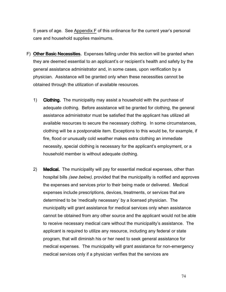5 years of age. See Appendix F of this ordinance for the current year's personal care and household supplies maximums.

- F) Other Basic Necessities. Expenses falling under this section will be granted when they are deemed essential to an applicant's or recipient's health and safety by the general assistance administrator and, in some cases, upon verification by a physician. Assistance will be granted only when these necessities cannot be obtained through the utilization of available resources.
	- 1) **Clothing.** The municipality may assist a household with the purchase of adequate clothing. Before assistance will be granted for clothing, the general assistance administrator must be satisfied that the applicant has utilized all available resources to secure the necessary clothing. In some circumstances, clothing will be a postponable item. Exceptions to this would be, for example, if fire, flood or unusually cold weather makes extra clothing an immediate necessity, special clothing is necessary for the applicant's employment, or a household member is without adequate clothing.
	- 2) Medical. The municipality will pay for essential medical expenses, other than hospital bills *(see below)*, provided that the municipality is notified and approves the expenses and services prior to their being made or delivered. Medical expenses include prescriptions, devices, treatments, or services that are determined to be 'medically necessary' by a licensed physician. The municipality will grant assistance for medical services only when assistance cannot be obtained from any other source and the applicant would not be able to receive necessary medical care without the municipality's assistance. The applicant is required to utilize any resource, including any federal or state program, that will diminish his or her need to seek general assistance for medical expenses. The municipality will grant assistance for non-emergency medical services only if a physician verifies that the services are

74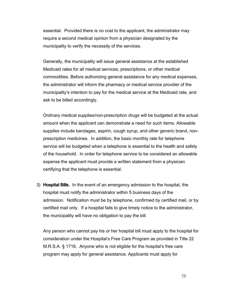essential. Provided there is no cost to the applicant, the administrator may require a second medical opinion from a physician designated by the municipality to verify the necessity of the services.

Generally, the municipality will issue general assistance at the established Medicaid rates for all medical services, prescriptions, or other medical commodities. Before authorizing general assistance for any medical expenses, the administrator will inform the pharmacy or medical service provider of the municipality's intention to pay for the medical service at the Medicaid rate, and ask to be billed accordingly.

Ordinary medical supplies/non-prescription drugs will be budgeted at the actual amount when the applicant can demonstrate a need for such items. Allowable supplies include bandages, aspirin, cough syrup, and other generic brand, nonprescription medicines. In addition, the basic monthly rate for telephone service will be budgeted when a telephone is essential to the health and safety of the household. In order for telephone service to be considered an allowable expense the applicant must provide a written statement from a physician certifying that the telephone is essential.

3) Hospital Bills. In the event of an emergency admission to the hospital, the hospital must notify the administrator within 5 business days of the admission. Notification must be by telephone, confirmed by certified mail, or by certified mail only. If a hospital fails to give timely notice to the administrator, the municipality will have no obligation to pay the bill.

Any person who cannot pay his or her hospital bill must apply to the hospital for consideration under the Hospital's Free Care Program as provided in Title 22 M.R.S.A. § 1716. Anyone who is not eligible for the hospital's free care program may apply for general assistance. Applicants must apply for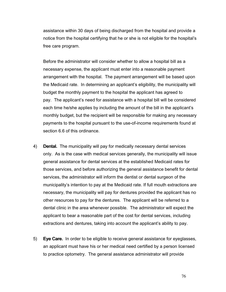assistance within 30 days of being discharged from the hospital and provide a notice from the hospital certifying that he or she is not eligible for the hospital's free care program.

Before the administrator will consider whether to allow a hospital bill as a necessary expense, the applicant must enter into a reasonable payment arrangement with the hospital. The payment arrangement will be based upon the Medicaid rate. In determining an applicant's eligibility, the municipality will budget the monthly payment to the hospital the applicant has agreed to pay. The applicant's need for assistance with a hospital bill will be considered each time he/she applies by including the amount of the bill in the applicant's monthly budget, but the recipient will be responsible for making any necessary payments to the hospital pursuant to the use-of-income requirements found at section 6.6 of this ordinance.

- 4) **Dental.** The municipality will pay for medically necessary dental services only. As is the case with medical services generally, the municipality will issue general assistance for dental services at the established Medicaid rates for those services, and before authorizing the general assistance benefit for dental services, the administrator will inform the dentist or dental surgeon of the municipality's intention to pay at the Medicaid rate. If full mouth extractions are necessary, the municipality will pay for dentures provided the applicant has no other resources to pay for the dentures. The applicant will be referred to a dental clinic in the area whenever possible. The administrator will expect the applicant to bear a reasonable part of the cost for dental services, including extractions and dentures, taking into account the applicant's ability to pay.
- 5) Eye Care. In order to be eligible to receive general assistance for eyeglasses, an applicant must have his or her medical need certified by a person licensed to practice optometry. The general assistance administrator will provide

76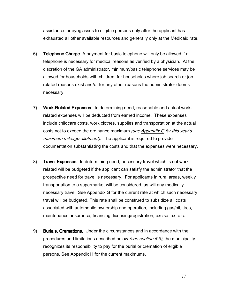assistance for eyeglasses to eligible persons only after the applicant has exhausted all other available resources and generally only at the Medicaid rate.

- 6) Telephone Charge. A payment for basic telephone will only be allowed if a telephone is necessary for medical reasons as verified by a physician. At the discretion of the GA administrator, minimum/basic telephone services may be allowed for households with children, for households where job search or job related reasons exist and/or for any other reasons the administrator deems necessary.
- 7) Work-Related Expenses. In determining need, reasonable and actual workrelated expenses will be deducted from earned income. These expenses include childcare costs, work clothes, supplies and transportation at the actual costs not to exceed the ordinance maximum (see Appendix G for this year's maximum mileage allotment). The applicant is required to provide documentation substantiating the costs and that the expenses were necessary.
- 8) Travel Expenses. In determining need, necessary travel which is not workrelated will be budgeted if the applicant can satisfy the administrator that the prospective need for travel is necessary. For applicants in rural areas, weekly transportation to a supermarket will be considered, as will any medically necessary travel. See Appendix G for the current rate at which such necessary travel will be budgeted. This rate shall be construed to subsidize all costs associated with automobile ownership and operation, including gas/oil, tires, maintenance, insurance, financing, licensing/registration, excise tax, etc.
- 9) Burials, Cremations. Under the circumstances and in accordance with the procedures and limitations described below (see section 6.9), the municipality recognizes its responsibility to pay for the burial or cremation of eligible persons. See Appendix H for the current maximums.

77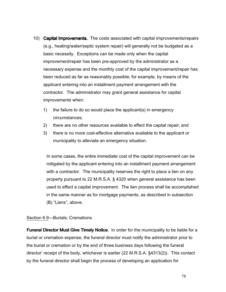- 10) **Capital Improvements.** The costs associated with capital improvements/repairs (e.g., heating/water/septic system repair) will generally not be budgeted as a basic necessity. Exceptions can be made only when the capital improvement/repair has been pre-approved by the administrator as a necessary expense and the monthly cost of the capital improvement/repair has been reduced as far as reasonably possible; for example, by means of the applicant entering into an installment payment arrangement with the contractor. The administrator may grant general assistance for capital improvements when:
	- 1) the failure to do so would place the applicant(s) in emergency circumstances;
	- 2) there are no other resources available to effect the capital repair; and
	- 3) there is no more cost-effective alternative available to the applicant or municipality to alleviate an emergency situation.

In some cases, the entire immediate cost of the capital improvement can be mitigated by the applicant entering into an installment payment arrangement with a contractor. The municipality reserves the right to place a lien on any property pursuant to 22 M.R.S.A. § 4320 when general assistance has been used to effect a capital improvement. The lien process shall be accomplished in the same manner as for mortgage payments, as described in subsection (B) "Liens", above.

### Section 6.9—Burials; Cremations

**Funeral Director Must Give Timely Notice.** In order for the municipality to be liable for a burial or cremation expense, the funeral director must notify the administrator prior to the burial or cremation or by the end of three business days following the funeral director' receipt of the body, whichever is earlier (22 M.R.S.A. §4313(2)). This contact by the funeral director shall begin the process of developing an application for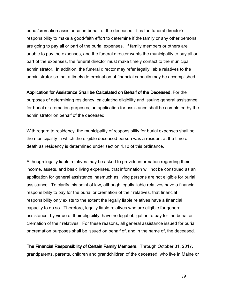burial/cremation assistance on behalf of the deceased. It is the funeral director's responsibility to make a good-faith effort to determine if the family or any other persons are going to pay all or part of the burial expenses. If family members or others are unable to pay the expenses, and the funeral director wants the municipality to pay all or part of the expenses, the funeral director must make timely contact to the municipal administrator. In addition, the funeral director may refer legally liable relatives to the administrator so that a timely determination of financial capacity may be accomplished.

Application for Assistance Shall be Calculated on Behalf of the Deceased. For the purposes of determining residency, calculating eligibility and issuing general assistance for burial or cremation purposes, an application for assistance shall be completed by the administrator on behalf of the deceased.

With regard to residency, the municipality of responsibility for burial expenses shall be the municipality in which the eligible deceased person was a resident at the time of death as residency is determined under section 4.10 of this ordinance.

Although legally liable relatives may be asked to provide information regarding their income, assets, and basic living expenses, that information will not be construed as an application for general assistance inasmuch as living persons are not eligible for burial assistance. To clarify this point of law, although legally liable relatives have a financial responsibility to pay for the burial or cremation of their relatives, that financial responsibility only exists to the extent the legally liable relatives have a financial capacity to do so. Therefore, legally liable relatives who are eligible for general assistance, by virtue of their eligibility, have no legal obligation to pay for the burial or cremation of their relatives. For these reasons, all general assistance issued for burial or cremation purposes shall be issued on behalf of, and in the name of, the deceased.

The Financial Responsibility of Certain Family Members. Through October 31, 2017, grandparents, parents, children and grandchildren of the deceased, who live in Maine or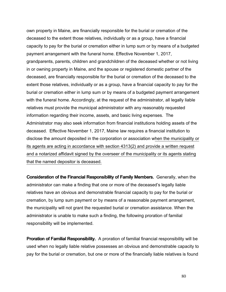own property in Maine, are financially responsible for the burial or cremation of the deceased to the extent those relatives, individually or as a group, have a financial capacity to pay for the burial or cremation either in lump sum or by means of a budgeted payment arrangement with the funeral home. Effective November 1, 2017, grandparents, parents, children and grandchildren of the deceased whether or not living in or owning property in Maine, and the spouse or registered domestic partner of the deceased, are financially responsible for the burial or cremation of the deceased to the extent those relatives, individually or as a group, have a financial capacity to pay for the burial or cremation either in lump sum or by means of a budgeted payment arrangement with the funeral home. Accordingly, at the request of the administrator, all legally liable relatives must provide the municipal administrator with any reasonably requested information regarding their income, assets, and basic living expenses. The Administrator may also seek information from financial institutions holding assets of the deceased. Effective November 1, 2017, Maine law requires a financial institution to disclose the amount deposited in the corporation or association when the municipality or its agents are acting in accordance with section 4313(2) and provide a written request and a notarized affidavit signed by the overseer of the municipality or its agents stating that the named depositor is deceased.

Consideration of the Financial Responsibility of Family Members. Generally, when the administrator can make a finding that one or more of the deceased's legally liable relatives have an obvious and demonstrable financial capacity to pay for the burial or cremation, by lump sum payment or by means of a reasonable payment arrangement, the municipality will not grant the requested burial or cremation assistance. When the administrator is unable to make such a finding, the following proration of familial responsibility will be implemented.

Proration of Familial Responsibility. A proration of familial financial responsibility will be used when no legally liable relative possesses an obvious and demonstrable capacity to pay for the burial or cremation, but one or more of the financially liable relatives is found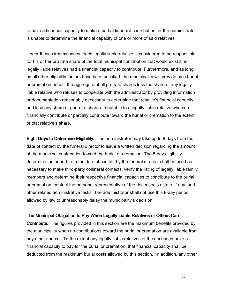to have a financial capacity to make a partial financial contribution, or the administrator is unable to determine the financial capacity of one or more of said relatives.

Under these circumstances, each legally liable relative is considered to be responsible for his or her pro rata share of the total municipal contribution that would exist if no legally liable relatives had a financial capacity to contribute. Furthermore, and as long as all other eligibility factors have been satisfied, the municipality will provide as a burial or cremation benefit the aggregate of all pro rata shares less the share of any legally liable relative who refuses to cooperate with the administrator by providing information or documentation reasonably necessary to determine that relative's financial capacity, and less any share or part of a share attributable to a legally liable relative who can financially contribute or partially contribute toward the burial or cremation to the extent of that relative's share.

Eight Days to Determine Eligibility. The administrator may take up to 8 days from the date of contact by the funeral director to issue a written decision regarding the amount of the municipal contribution toward the burial or cremation. The 8-day eligibility determination period from the date of contact by the funeral director shall be used as necessary to make third-party collateral contacts, verify the listing of legally liable family members and determine their respective financial capacities to contribute to the burial or cremation, contact the personal representative of the deceased's estate, if any, and other related administrative tasks. The administrator shall not use this 8-day period allowed by law to unreasonably delay the municipality's decision.

### The Municipal Obligation to Pay When Legally Liable Relatives or Others Can

**Contribute.** The figures provided in this section are the maximum benefits provided by the municipality when no contributions toward the burial or cremation are available from any other source. To the extent any legally liable relatives of the deceased have a financial capacity to pay for the burial or cremation, that financial capacity shall be deducted from the maximum burial costs allowed by this section. In addition, any other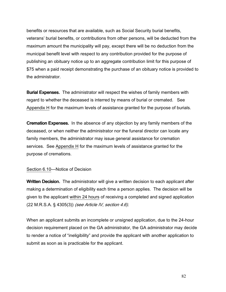benefits or resources that are available, such as Social Security burial benefits, veterans' burial benefits, or contributions from other persons, will be deducted from the maximum amount the municipality will pay, except there will be no deduction from the municipal benefit level with respect to any contribution provided for the purpose of publishing an obituary notice up to an aggregate contribution limit for this purpose of \$75 when a paid receipt demonstrating the purchase of an obituary notice is provided to the administrator.

**Burial Expenses.** The administrator will respect the wishes of family members with regard to whether the deceased is interred by means of burial or cremated. See Appendix H for the maximum levels of assistance granted for the purpose of burials.

**Cremation Expenses.** In the absence of any objection by any family members of the deceased, or when neither the administrator nor the funeral director can locate any family members, the administrator may issue general assistance for cremation services. See Appendix H for the maximum levels of assistance granted for the purpose of cremations.

### Section 6.10—Notice of Decision

**Written Decision.** The administrator will give a written decision to each applicant after making a determination of eligibility each time a person applies. The decision will be given to the applicant within 24 hours of receiving a completed and signed application (22 M.R.S.A. § 4305(3)) (see Article IV, section 4.6).

When an applicant submits an incomplete or unsigned application, due to the 24-hour decision requirement placed on the GA administrator, the GA administrator may decide to render a notice of "ineligibility" and provide the applicant with another application to submit as soon as is practicable for the applicant.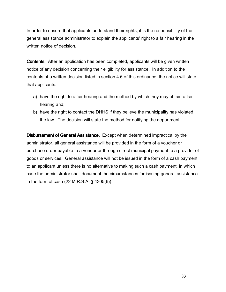In order to ensure that applicants understand their rights, it is the responsibility of the general assistance administrator to explain the applicants' right to a fair hearing in the written notice of decision.

Contents. After an application has been completed, applicants will be given written notice of any decision concerning their eligibility for assistance. In addition to the contents of a written decision listed in section 4.6 of this ordinance, the notice will state that applicants:

- a) have the right to a fair hearing and the method by which they may obtain a fair hearing and;
- b) have the right to contact the DHHS if they believe the municipality has violated the law. The decision will state the method for notifying the department.

**Disbursement of General Assistance.** Except when determined impractical by the administrator, all general assistance will be provided in the form of a voucher or purchase order payable to a vendor or through direct municipal payment to a provider of goods or services. General assistance will not be issued in the form of a cash payment to an applicant unless there is no alternative to making such a cash payment, in which case the administrator shall document the circumstances for issuing general assistance in the form of cash (22 M.R.S.A. § 4305(6)).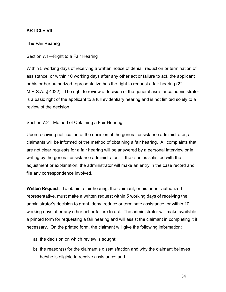# **ARTICLE VII**

## The Fair Hearing

### Section 7.1—Right to a Fair Hearing

Within 5 working days of receiving a written notice of denial, reduction or termination of assistance, or within 10 working days after any other act or failure to act, the applicant or his or her authorized representative has the right to request a fair hearing (22 M.R.S.A. § 4322). The right to review a decision of the general assistance administrator is a basic right of the applicant to a full evidentiary hearing and is not limited solely to a review of the decision.

### Section 7.2—Method of Obtaining a Fair Hearing

Upon receiving notification of the decision of the general assistance administrator, all claimants will be informed of the method of obtaining a fair hearing. All complaints that are not clear requests for a fair hearing will be answered by a personal interview or in writing by the general assistance administrator. If the client is satisfied with the adjustment or explanation, the administrator will make an entry in the case record and file any correspondence involved.

Written Request. To obtain a fair hearing, the claimant, or his or her authorized representative, must make a written request within 5 working days of receiving the administrator's decision to grant, deny, reduce or terminate assistance, or within 10 working days after any other act or failure to act. The administrator will make available a printed form for requesting a fair hearing and will assist the claimant in completing it if necessary. On the printed form, the claimant will give the following information:

- a) the decision on which review is sought;
- b) the reason(s) for the claimant's dissatisfaction and why the claimant believes he/she is eligible to receive assistance; and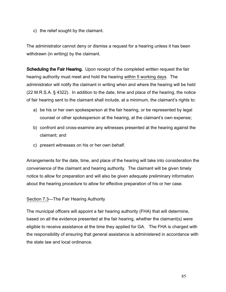c) the relief sought by the claimant.

The administrator cannot deny or dismiss a request for a hearing unless it has been withdrawn (in writing) by the claimant.

**Scheduling the Fair Hearing.** Upon receipt of the completed written request the fair hearing authority must meet and hold the hearing within 5 working days. The administrator will notify the claimant in writing when and where the hearing will be held (22 M.R.S.A. § 4322). In addition to the date, time and place of the hearing, the notice of fair hearing sent to the claimant shall include, at a minimum, the claimant's rights to:

- a) be his or her own spokesperson at the fair hearing, or be represented by legal counsel or other spokesperson at the hearing, at the claimant's own expense;
- b) confront and cross-examine any witnesses presented at the hearing against the claimant; and
- c) present witnesses on his or her own behalf.

Arrangements for the date, time, and place of the hearing will take into consideration the convenience of the claimant and hearing authority. The claimant will be given timely notice to allow for preparation and will also be given adequate preliminary information about the hearing procedure to allow for effective preparation of his or her case.

## Section 7.3—The Fair Hearing Authority

The municipal officers will appoint a fair hearing authority (FHA) that will determine, based on all the evidence presented at the fair hearing, whether the claimant(s) were eligible to receive assistance at the time they applied for GA. The FHA is charged with the responsibility of ensuring that general assistance is administered in accordance with the state law and local ordinance.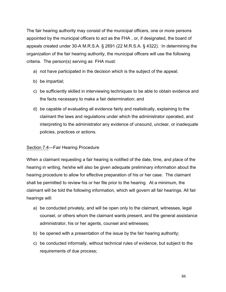The fair hearing authority may consist of the municipal officers, one or more persons appointed by the municipal officers to act as the FHA , or, if designated, the board of appeals created under 30-A M.R.S.A. § 2691 (22 M.R.S.A. § 4322). In determining the organization of the fair hearing authority, the municipal officers will use the following criteria. The person(s) serving as FHA must:

- a) not have participated in the decision which is the subject of the appeal;
- b) be impartial;
- c) be sufficiently skilled in interviewing techniques to be able to obtain evidence and the facts necessary to make a fair determination; and
- d) be capable of evaluating all evidence fairly and realistically, explaining to the claimant the laws and regulations under which the administrator operated, and interpreting to the administrator any evidence of unsound, unclear, or inadequate policies, practices or actions.

### Section 7.4—Fair Hearing Procedure

When a claimant requesting a fair hearing is notified of the date, time, and place of the hearing in writing, he/she will also be given adequate preliminary information about the hearing procedure to allow for effective preparation of his or her case. The claimant shall be permitted to review his or her file prior to the hearing. At a minimum, the claimant will be told the following information, which will govern all fair hearings. All fair hearings will:

- a) be conducted privately, and will be open only to the claimant, witnesses, legal counsel, or others whom the claimant wants present, and the general assistance administrator, his or her agents, counsel and witnesses;
- b) be opened with a presentation of the issue by the fair hearing authority;
- c) be conducted informally, without technical rules of evidence, but subject to the requirements of due process;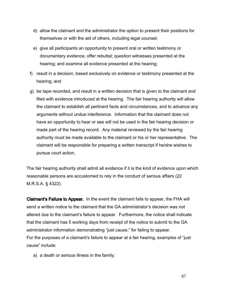- d) allow the claimant and the administrator the option to present their positions for themselves or with the aid of others, including legal counsel;
- e) give all participants an opportunity to present oral or written testimony or documentary evidence, offer rebuttal; question witnesses presented at the hearing; and examine all evidence presented at the hearing;
- f) result in a decision, based exclusively on evidence or testimony presented at the hearing; and
- g) be tape recorded, and result in a written decision that is given to the claimant and filed with evidence introduced at the hearing. The fair hearing authority will allow the claimant to establish all pertinent facts and circumstances, and to advance any arguments without undue interference. Information that the claimant does not have an opportunity to hear or see will not be used in the fair hearing decision or made part of the hearing record. Any material reviewed by the fair hearing authority must be made available to the claimant or his or her representative. The claimant will be responsible for preparing a written transcript if he/she wishes to pursue court action.

The fair hearing authority shall admit all evidence if it is the kind of evidence upon which reasonable persons are accustomed to rely in the conduct of serious affairs (22 M.R.S.A. § 4322).

Claimant's Failure to Appear. In the event the claimant fails to appear, the FHA will send a written notice to the claimant that the GA administrator's decision was not altered due to the claimant's failure to appear. Furthermore, the notice shall indicate that the claimant has 5 working days from receipt of the notice to submit to the GA administrator information demonstrating "just cause," for failing to appear. For the purposes of a claimant's failure to appear at a fair hearing, examples of "just cause" include:

a) a death or serious illness in the family;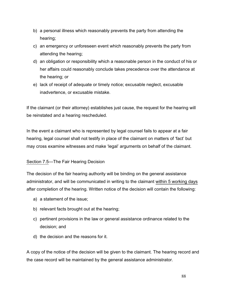- b) a personal illness which reasonably prevents the party from attending the hearing;
- c) an emergency or unforeseen event which reasonably prevents the party from attending the hearing;
- d) an obligation or responsibility which a reasonable person in the conduct of his or her affairs could reasonably conclude takes precedence over the attendance at the hearing; or
- e) lack of receipt of adequate or timely notice; excusable neglect, excusable inadvertence, or excusable mistake.

If the claimant (or their attorney) establishes just cause, the request for the hearing will be reinstated and a hearing rescheduled.

In the event a claimant who is represented by legal counsel fails to appear at a fair hearing, legal counsel shall not testify in place of the claimant on matters of 'fact' but may cross examine witnesses and make 'legal' arguments on behalf of the claimant.

## Section 7.5—The Fair Hearing Decision

The decision of the fair hearing authority will be binding on the general assistance administrator, and will be communicated in writing to the claimant within 5 working days after completion of the hearing. Written notice of the decision will contain the following:

- a) a statement of the issue;
- b) relevant facts brought out at the hearing;
- c) pertinent provisions in the law or general assistance ordinance related to the decision; and
- d) the decision and the reasons for it.

A copy of the notice of the decision will be given to the claimant. The hearing record and the case record will be maintained by the general assistance administrator.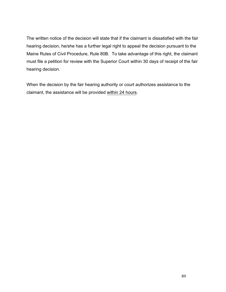The written notice of the decision will state that if the claimant is dissatisfied with the fair hearing decision, he/she has a further legal right to appeal the decision pursuant to the Maine Rules of Civil Procedure, Rule 80B. To take advantage of this right, the claimant must file a petition for review with the Superior Court within 30 days of receipt of the fair hearing decision.

When the decision by the fair hearing authority or court authorizes assistance to the claimant, the assistance will be provided within 24 hours.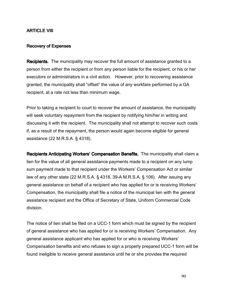## ARTICLE VIII

#### Recovery of Expenses

Recipients. The municipality may recover the full amount of assistance granted to a person from either the recipient or from any person liable for the recipient, or his or her executors or administrators in a civil action. However, prior to recovering assistance granted, the municipality shall "offset" the value of any workfare performed by a GA recipient, at a rate not less than minimum wage.

Prior to taking a recipient to court to recover the amount of assistance, the municipality will seek voluntary repayment from the recipient by notifying him/her in writing and discussing it with the recipient. The municipality shall not attempt to recover such costs if, as a result of the repayment, the person would again become eligible for general assistance (22 M.R.S.A. § 4318).

Recipients Anticipating Workers' Compensation Benefits. The municipality shall claim a lien for the value of all general assistance payments made to a recipient on any lump sum payment made to that recipient under the Workers' Compensation Act or similar law of any other state (22 M.R.S.A. § 4318, 39-A M.R.S.A. § 106). After issuing any general assistance on behalf of a recipient who has applied for or is receiving Workers' Compensation, the municipality shall file a notice of the municipal lien with the general assistance recipient and the Office of Secretary of State, Uniform Commercial Code division.

The notice of lien shall be filed on a UCC-1 form which must be signed by the recipient of general assistance who has applied for or is receiving Workers' Compensation. Any general assistance applicant who has applied for or who is receiving Workers' Compensation benefits and who refuses to sign a properly prepared UCC-1 form will be found ineligible to receive general assistance until he or she provides the required

90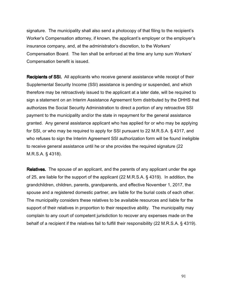signature. The municipality shall also send a photocopy of that filing to the recipient's Worker's Compensation attorney, if known, the applicant's employer or the employer's insurance company, and, at the administrator's discretion, to the Workers' Compensation Board. The lien shall be enforced at the time any lump sum Workers' Compensation benefit is issued.

Recipients of SSI. All applicants who receive general assistance while receipt of their Supplemental Security Income (SSI) assistance is pending or suspended, and which therefore may be retroactively issued to the applicant at a later date, will be required to sign a statement on an Interim Assistance Agreement form distributed by the DHHS that authorizes the Social Security Administration to direct a portion of any retroactive SSI payment to the municipality and/or the state in repayment for the general assistance granted. Any general assistance applicant who has applied for or who may be applying for SSI, or who may be required to apply for SSI pursuant to 22 M.R.S.A. § 4317, and who refuses to sign the Interim Agreement SSI authorization form will be found ineligible to receive general assistance until he or she provides the required signature (22 M.R.S.A. § 4318).

**Relatives.** The spouse of an applicant, and the parents of any applicant under the age of 25, are liable for the support of the applicant (22 M.R.S.A. § 4319). In addition, the grandchildren, children, parents, grandparents, and effective November 1, 2017, the spouse and a registered domestic partner, are liable for the burial costs of each other. The municipality considers these relatives to be available resources and liable for the support of their relatives in proportion to their respective ability. The municipality may complain to any court of competent jurisdiction to recover any expenses made on the behalf of a recipient if the relatives fail to fulfill their responsibility (22 M.R.S.A. § 4319).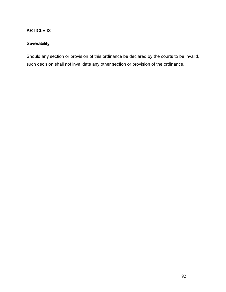# ARTICLE IX

# **Severability**

Should any section or provision of this ordinance be declared by the courts to be invalid, such decision shall not invalidate any other section or provision of the ordinance.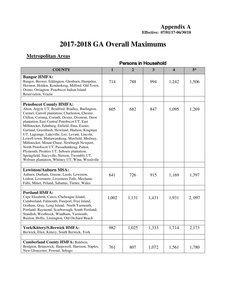# **2017-2018 GA Overall Maximums**

# **Metropolitan Areas**

| <b>COUNTY</b>                                                                                                                                                                                                                                                                                                                                                                                                                                                                                                                                                                                                                                                                             | $\mathbf{1}$ | $\overline{2}$ | $\overline{\mathbf{3}}$ | $\overline{\mathbf{4}}$ | $5*$  |
|-------------------------------------------------------------------------------------------------------------------------------------------------------------------------------------------------------------------------------------------------------------------------------------------------------------------------------------------------------------------------------------------------------------------------------------------------------------------------------------------------------------------------------------------------------------------------------------------------------------------------------------------------------------------------------------------|--------------|----------------|-------------------------|-------------------------|-------|
| <b>Bangor HMFA:</b><br>Bangor, Brewer, Eddington, Glenburn, Hampden,<br>Hermon, Holden, Kenduskeag, Milford, Old Town,<br>Orono, Orrington, Penobscot Indian Island<br>Reservation, Veazie                                                                                                                                                                                                                                                                                                                                                                                                                                                                                                | 714          | 788            | 994                     | 1,242                   | 1,506 |
|                                                                                                                                                                                                                                                                                                                                                                                                                                                                                                                                                                                                                                                                                           |              |                |                         |                         |       |
| <b>Penobscot County HMFA:</b><br>Alton, Argyle UT, Bradford, Bradley, Burlington,<br>Carmel, Carroll plantation, Charleston, Chester,<br>Clifton, Corinna, Corinth, Dexter, Dixmont, Drew<br>plantation, East Central Penobscot UT, East<br>Millinocket, Edinburg, Enfield, Etna, Exeter,<br>Garland, Greenbush, Howland, Hudson, Kingman<br>UT, Lagrange, Lakeville, Lee, Levant, Lincoln,<br>Lowell town, Mattawamkeag, Maxfield, Medway,<br>Millinocket, Mount Chase, Newburgh Newport,<br>North Penobscot UT, Passadumkeag, Patten,<br>Plymouth, Prentiss UT, Seboeis plantation,<br>Springfield, Stacyville, Stetson, Twombly UT,<br>Webster plantation, Whitney UT, Winn, Woodville | 605          | 682            | 847                     | 1,095                   | 1,269 |
| <b>Lewiston/Auburn MSA:</b>                                                                                                                                                                                                                                                                                                                                                                                                                                                                                                                                                                                                                                                               |              |                |                         |                         |       |
| Auburn, Durham, Greene, Leeds, Lewiston,<br>Lisbon, Livermore, Livermore Falls, Mechanic<br>Falls, Minot, Poland, Sabattus, Turner, Wales                                                                                                                                                                                                                                                                                                                                                                                                                                                                                                                                                 | 641          | 726            | 915                     | 1,169                   | 1,397 |
|                                                                                                                                                                                                                                                                                                                                                                                                                                                                                                                                                                                                                                                                                           |              |                |                         |                         |       |
| <b>Portland HMFA:</b><br>Cape Elizabeth, Casco, Chebeague Island,<br>Cumberland, Falmouth, Freeport, Frye Island,<br>Gorham, Gray, Long Island, North Yarmouth,<br>Portland, Raymond, Scarborough, South Portland,<br>Standish, Westbrook, Windham, Yarmouth;<br>Buxton, Hollis, Limington, Old Orchard Beach                                                                                                                                                                                                                                                                                                                                                                             | 1,002        | 1,131          | 1,431                   | 1,931                   | 2,097 |
|                                                                                                                                                                                                                                                                                                                                                                                                                                                                                                                                                                                                                                                                                           |              |                |                         |                         |       |
| York/Kittery/S.Berwick HMFA:<br>Berwick, Eliot, Kittery, South Berwick, York                                                                                                                                                                                                                                                                                                                                                                                                                                                                                                                                                                                                              | 982          | 1,025          | 1,333                   | 1,714                   | 2,173 |
|                                                                                                                                                                                                                                                                                                                                                                                                                                                                                                                                                                                                                                                                                           |              |                |                         |                         |       |
| <b>Cumberland County HMFA: Baldwin,</b><br>Bridgton, Brunswick, Harpswell, Harrison, Naples,<br>New Gloucester, Pownal, Sebago                                                                                                                                                                                                                                                                                                                                                                                                                                                                                                                                                            | 761          | 807            | 1,072                   | 1,561                   | 1,780 |

# Persons in Household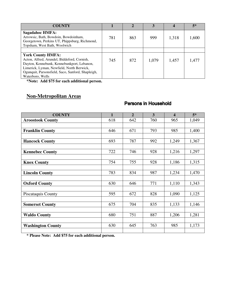| <b>COUNTY</b>                                                                                                                                                                                                                               |     |     |       |       | $5*$  |
|---------------------------------------------------------------------------------------------------------------------------------------------------------------------------------------------------------------------------------------------|-----|-----|-------|-------|-------|
| <b>Sagadahoc HMFA:</b><br>Arrowsic, Bath, Bowdoin, Bowdoinham,<br>Georgetown, Perkins UT, Phippsburg, Richmond,<br>Topsham, West Bath, Woolwich                                                                                             | 781 | 863 | 999   | 1,318 | 1,600 |
|                                                                                                                                                                                                                                             |     |     |       |       |       |
| <b>York County HMFA:</b><br>Acton, Alfred, Arundel, Biddeford, Cornish,<br>Dayton, Kennebunk, Kennebunkport, Lebanon,<br>Limerick, Lyman, Newfield, North Berwick,<br>Ogunquit, Parsonsfield, Saco, Sanford, Shapleigh,<br>Waterboro, Wells | 745 | 872 | 1,079 | 1,457 | 1,477 |

**\*Note: Add \$75 for each additional person.**

# **Non-Metropolitan Areas**

## Persons in Household

| <b>COUNTY</b>            | $\mathbf{1}$ | $\overline{2}$ | $\overline{\mathbf{3}}$ | $\overline{\mathbf{4}}$ | $5*$  |
|--------------------------|--------------|----------------|-------------------------|-------------------------|-------|
| <b>Aroostook County</b>  | 618          | 642            | 760                     | 965                     | 1,049 |
|                          |              |                |                         |                         |       |
| <b>Franklin County</b>   | 646          | 671            | 793                     | 985                     | 1,400 |
|                          |              |                |                         |                         |       |
| <b>Hancock County</b>    | 693          | 787            | 992                     | 1,249                   | 1,367 |
|                          |              |                |                         |                         |       |
| <b>Kennebec County</b>   | 722          | 746            | 928                     | 1,216                   | 1,297 |
|                          |              |                |                         |                         |       |
| <b>Knox County</b>       | 754          | 755            | 928                     | 1,186                   | 1,315 |
|                          |              |                |                         |                         |       |
| <b>Lincoln County</b>    | 783          | 834            | 987                     | 1,234                   | 1,470 |
|                          |              |                |                         |                         |       |
| <b>Oxford County</b>     | 630          | 646            | 771                     | 1,110                   | 1,343 |
|                          |              |                |                         |                         |       |
| Piscataquis County       | 595          | 672            | 828                     | 1,090                   | 1,125 |
|                          |              |                |                         |                         |       |
| <b>Somerset County</b>   | 675          | 704            | 835                     | 1,133                   | 1,146 |
|                          |              |                |                         |                         |       |
| <b>Waldo County</b>      | 680          | 751            | 887                     | 1,206                   | 1,281 |
|                          |              |                |                         |                         |       |
| <b>Washington County</b> | 630          | 645            | 763                     | 985                     | 1,173 |
|                          |              |                |                         |                         |       |

**\* Please Note: Add \$75 for each additional person.**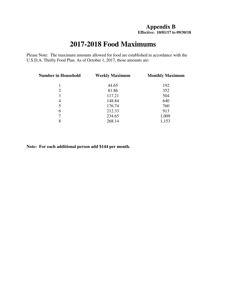## **Appendix B Effective: 10/01/17 to 09/30/18**

# **2017-2018 Food Maximums**

Please Note: The maximum amounts allowed for food are established in accordance with the U.S.D.A. Thrifty Food Plan. As of October 1, 2017, those amounts are:

| <b>Number in Household</b> | <b>Weekly Maximum</b> | <b>Monthly Maximum</b> |
|----------------------------|-----------------------|------------------------|
|                            | 44.65                 | 192                    |
| 2                          | 81.86                 | 352                    |
| 3                          | 117.21                | 504                    |
| 4                          | 148.84                | 640                    |
| 5                          | 176.74                | 760                    |
| 6                          | 212.33                | 913                    |
| 7                          | 234.65                | 1,009                  |
| 8                          | 268.14                | 1,153                  |
|                            |                       |                        |

**Note: For each additional person add \$144 per month.**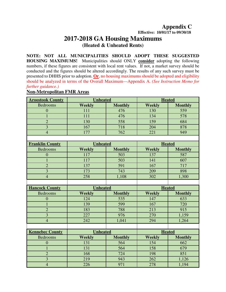**Appendix C** 

 **Effective: 10/01/17 to 09/30/18**

# **2017-2018 GA Housing Maximums (Heated & Unheated Rents)**

**NOTE: NOT ALL MUNICIPALITIES SHOULD ADOPT THESE SUGGESTED HOUSING MAXIMUMS!** Municipalities should ONLY **consider** adopting the following numbers, if these figures are consistent with local rent values. If not, a market survey should be conducted and the figures should be altered accordingly. The results of any such survey must be presented to DHHS prior to adoption. **Or**, no housing maximums should be adopted and eligibility should be analyzed in terms of the Overall Maximum—Appendix A. *(See Instruction Memo for further guidance.)*

### **Non-Metropolitan FMR Areas**

| <b>Aroostook County</b> | <b>Unheated</b>  |                | <b>Heated</b> |                |  |
|-------------------------|------------------|----------------|---------------|----------------|--|
| <b>Bedrooms</b>         | <b>Weekly</b>    | <b>Monthly</b> | <b>Weekly</b> | <b>Monthly</b> |  |
| $\boldsymbol{0}$        | 111              | 476            | 130           | 559            |  |
| $\mathbf{1}$            | 111              | 476            | 134           | 578            |  |
| $\overline{2}$          | 130              | 558            | 159           | 684            |  |
| $\overline{3}$          | $\overline{167}$ | 718            | 204           | 878            |  |
| $\overline{4}$          | 177              | 762            | 221           | 949            |  |
|                         |                  |                |               |                |  |
| <b>Franklin County</b>  | <b>Unheated</b>  |                |               | <b>Heated</b>  |  |
| <b>Bedrooms</b>         | <b>Weekly</b>    | <b>Monthly</b> | <b>Weekly</b> | <b>Monthly</b> |  |
| $\overline{0}$          | 117              | 503            | 137           | 587            |  |
| $\mathbf{1}$            | 117              | 503            | 141           | 607            |  |
| $\overline{2}$          | 137              | 591            | 167           | 717            |  |
| $\overline{3}$          | 173              | 743            | 209           | 898            |  |
| $\overline{4}$          | 258              | 1,108          | 302           | 1,300          |  |
|                         |                  |                |               |                |  |
| <b>Hancock County</b>   | <b>Unheated</b>  |                |               | <b>Heated</b>  |  |
| <b>Bedrooms</b>         | <b>Weekly</b>    | <b>Monthly</b> | <b>Weekly</b> | <b>Monthly</b> |  |
| $\overline{0}$          | 124              | 535            | 147           | 633            |  |
| $\mathbf{1}$            | 139              | 599            | 167           | 720            |  |
| $\overline{2}$          | 183              | 788            | 213           | 915            |  |
| $\overline{\mathbf{3}}$ | 227              | 976            | 270           | 1,159          |  |
| $\overline{4}$          | 242              | 1,041          | 294           | 1,264          |  |
|                         |                  |                |               |                |  |
| <b>Kennebec County</b>  | <b>Unheated</b>  |                | <b>Heated</b> |                |  |
| <b>Bedrooms</b>         | Weekly           | <b>Monthly</b> |               | <b>Monthly</b> |  |
| $\boldsymbol{0}$        | 131              | 564            | 154           | 662            |  |
| $\mathbf{1}$            | 131              | 564            | 158           | 679            |  |
| $\overline{2}$          | 168              | 724            | 198           | 851            |  |
| $\overline{3}$          | 219              | 943            | 262           | 1,126          |  |
| $\overline{4}$          | 226              | 971            | 278           | 1,194          |  |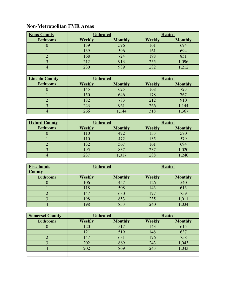# **Non-Metropolitan FMR Areas**

| <b>Knox County</b>      | <b>Unheated</b> |                 | <b>Heated</b> |                |  |
|-------------------------|-----------------|-----------------|---------------|----------------|--|
| <b>Bedrooms</b>         | <b>Weekly</b>   | <b>Monthly</b>  | <b>Weekly</b> | <b>Monthly</b> |  |
| $\mathbf{0}$            | 139             | 596             | 161           | 694            |  |
| $\mathbf{1}$            | 139             | 596             | 161           | 694            |  |
| $\overline{2}$          | 168             | 724             | 198           | 851            |  |
| $\overline{3}$          | 212             | 913             | 255           | 1,096          |  |
| $\overline{4}$          | 230             | 989             | 282           | 1,212          |  |
|                         |                 |                 |               |                |  |
| <b>Lincoln County</b>   |                 | <b>Unheated</b> |               | <b>Heated</b>  |  |
| <b>Bedrooms</b>         | <b>Weekly</b>   | <b>Monthly</b>  | <b>Weekly</b> | <b>Monthly</b> |  |
| $\mathbf{0}$            | 145             | 625             | 168           | 723            |  |
| $\mathbf{1}$            | 150             | 646             | 178           | 767            |  |
| $\overline{2}$          | 182             | 783             | 212           | 910            |  |
| $\overline{\mathbf{3}}$ | 223             | 961             | 266           | 1,144          |  |
| $\overline{4}$          | 266             | 1,144           | 318           | 1,367          |  |
|                         |                 |                 |               |                |  |
| <b>Oxford County</b>    | <b>Unheated</b> |                 |               | <b>Heated</b>  |  |
| <b>Bedrooms</b>         | <b>Weekly</b>   | <b>Monthly</b>  | <b>Weekly</b> | <b>Monthly</b> |  |
| $\boldsymbol{0}$        | 110             | 472             | 133           | 570            |  |
| $\mathbf{1}$            | 110             | 472             | 135           | 579            |  |
| $\overline{2}$          | 132             | 567             | 161           | 694            |  |
| 3                       | 195             | 837             | 237           | 1,020          |  |
| $\overline{4}$          | 237             | 1,017           | 288           | 1,240          |  |
|                         |                 |                 |               |                |  |
| <b>Piscataquis</b>      | <b>Unheated</b> |                 | <b>Heated</b> |                |  |
| <b>County</b>           |                 |                 |               |                |  |
| <b>Bedrooms</b>         | <b>Weekly</b>   | <b>Monthly</b>  | <b>Weekly</b> | <b>Monthly</b> |  |
| $\overline{0}$          | 106             | 457             | 126           | 540            |  |
| $\mathbf{1}$            | 118             | 508             | 143           | 613            |  |
| $\overline{2}$          | 147             | 630             | 177           | 759            |  |
| $\overline{3}$          | 198             | 853             | 235           | 1,011          |  |
| $\overline{4}$          | 198             | 853             | 240           | 1,034          |  |
|                         |                 |                 |               |                |  |
| <b>Somerset County</b>  | <b>Unheated</b> |                 | <b>Heated</b> |                |  |
| <b>Bedrooms</b>         | <b>Weekly</b>   | <b>Monthly</b>  | <b>Weekly</b> | <b>Monthly</b> |  |
| $\boldsymbol{0}$        | 120             | 517             | 143           | 615            |  |
| $\mathbf{1}$            | 121             | 519             | 148           | 637            |  |
| $\overline{2}$          | 147             | 631             | 176           | 758            |  |
| $\overline{3}$          | 202             | 869             | 243           | 1,043          |  |
| $\overline{4}$          | 202             | 869             | 243           | 1,043          |  |
|                         |                 |                 |               |                |  |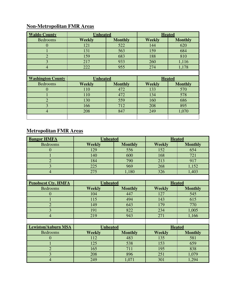# **Non-Metropolitan FMR Areas**

| <b>Waldo County</b>      | <b>Unheated</b> |                |               | <b>Heated</b>  |
|--------------------------|-----------------|----------------|---------------|----------------|
| <b>Bedrooms</b>          | <b>Weekly</b>   | <b>Monthly</b> | <b>Weekly</b> | <b>Monthly</b> |
| $\overline{0}$           | 121             | 522            | 144           | 620            |
|                          | 131             | 563            | 159           | 684            |
| $\overline{2}$           | 159             | 683            | 188           | 810            |
| $\overline{3}$           | 217             | 933            | 260           | 1,116          |
| $\overline{4}$           | 222             | 955            | 274           | 1,178          |
|                          |                 |                |               |                |
|                          |                 |                |               |                |
| <b>Washington County</b> | <b>Unheated</b> |                | <b>Heated</b> |                |
| <b>Bedrooms</b>          | <b>Weekly</b>   | <b>Monthly</b> | <b>Weekly</b> | <b>Monthly</b> |
| $\overline{0}$           | 110             | 472            | 133           | 570            |
|                          | 110             | 472            | 134           | 578            |
| $\overline{2}$           | 130             | 559            | 160           | 686            |
| 3                        | 166             | 712            | 208           | 895            |
| $\overline{4}$           | 208             | 847            | 249           | 1,070          |

# **Metropolitan FMR Areas**

| <b>Bangor HMFA</b>         | <b>Unheated</b> |                 | <b>Heated</b> |                |  |
|----------------------------|-----------------|-----------------|---------------|----------------|--|
| <b>Bedrooms</b>            | <b>Weekly</b>   | <b>Monthly</b>  | <b>Weekly</b> | <b>Monthly</b> |  |
| $\overline{0}$             | 129             | 556             | 152           | 654            |  |
|                            | 140             | 600             | 168           | 721            |  |
| $\overline{2}$             | 184             | 790             | 213           | 917            |  |
| $\overline{3}$             | 225             | 969             | 268           | 1,152          |  |
| $\overline{4}$             | 275             | 1,180           | 326           | 1,403          |  |
|                            |                 |                 |               |                |  |
| <b>Penobscot Cty. HMFA</b> |                 | <b>Unheated</b> |               | <b>Heated</b>  |  |
| <b>Bedrooms</b>            | <b>Weekly</b>   | <b>Monthly</b>  | <b>Weekly</b> | <b>Monthly</b> |  |
| $\overline{0}$             | 104             | 447             | 127           | 545            |  |
|                            | 115             | 494             | 143           | 615            |  |
| $\overline{2}$             | 149             | 643             | 179           | 770            |  |
| $\overline{3}$             | 191             | 822             | 234           | 1,005          |  |
| $\overline{4}$             | 219             | 943             | 271           | 1,166          |  |
|                            |                 |                 |               |                |  |
| <b>Lewiston/Auburn MSA</b> | <b>Unheated</b> |                 | <b>Heated</b> |                |  |
| <b>Bedrooms</b>            | <b>Weekly</b>   | <b>Monthly</b>  | <b>Weekly</b> | <b>Monthly</b> |  |
| 0                          | 112             | 483             | 135           | 581            |  |
|                            | 125             | 538             | 153           | 659            |  |
| $\overline{2}$             | 165             | 711             | 195           | 838            |  |
| $\overline{3}$             | 208             | 896             | 251           | 1,079          |  |
| $\overline{4}$             | 249             | 1,071           | 301           | 1,294          |  |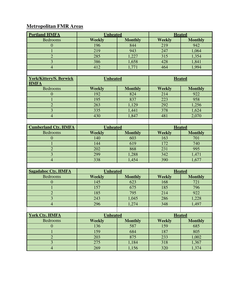# **Metropolitan FMR Areas**

| <b>Portland HMFA</b>           | <b>Unheated</b> |                | <b>Heated</b> |                |
|--------------------------------|-----------------|----------------|---------------|----------------|
| <b>Bedrooms</b>                | Weekly          | <b>Monthly</b> | <b>Weekly</b> | <b>Monthly</b> |
| $\mathbf{0}$                   | 196             | 844            | 219           | 942            |
| $\mathbf{1}$                   | 219             | 943            | 247           | 1,064          |
| $\overline{2}$                 | 285             | 1,227          | 315           | 1,354          |
| $\overline{3}$                 | 386             | 1,658          | 428           | 1,841          |
| $\overline{4}$                 | 412             | 1,771          | 464           | 1,994          |
|                                |                 |                |               |                |
| <b>York/Kittery/S. Berwick</b> | <b>Unheated</b> |                | <b>Heated</b> |                |
| <b>HMFA</b>                    |                 |                |               |                |
| <b>Bedrooms</b>                | <b>Weekly</b>   | <b>Monthly</b> | <b>Weekly</b> | <b>Monthly</b> |
| $\mathbf{0}$                   | 192             | 824            | 214           | 922            |
| $\mathbf{1}$                   | 195             | 837            | 223           | 958            |
| $\overline{2}$                 | 263             | 1,129          | 292           | 1,256          |
| $\overline{3}$                 | 335             | 1,441          | 378           | 1,624          |
| $\overline{4}$                 | 430             | 1,847          | 481           | 2,070          |
|                                |                 |                |               |                |
| <b>Cumberland Cty. HMFA</b>    | <b>Unheated</b> |                | <b>Heated</b> |                |
| <b>Bedrooms</b>                | <b>Weekly</b>   | <b>Monthly</b> | <b>Weekly</b> | <b>Monthly</b> |
| $\boldsymbol{0}$               | 140             | 603            | 163           | 701            |
| $\mathbf{1}$                   | 144             | 619            | 172           | 740            |
| $\overline{2}$                 | 202             | 868            | 231           | 995            |
| 3                              | 299             | 1,288          | 342           | 1,471          |
| $\overline{4}$                 | 338             | 1,454          | 390           | 1,677          |
|                                |                 |                |               |                |
| <b>Sagadahoc Cty. HMFA</b>     | <b>Unheated</b> |                | <b>Heated</b> |                |
| <b>Bedrooms</b>                | Weekly          | <b>Monthly</b> | <b>Weekly</b> | <b>Monthly</b> |
| $\mathbf{0}$                   | 145             | 623            | 168           | 721            |
| 1                              | 157             | 675            | 185           | 796            |
| $\overline{2}$                 | 185             | 795            | 214           | 922            |
| 3                              | 243             | 1,045          | 286           | 1,228          |
| $\overline{4}$                 | 296             | 1,274          | 348           | 1,497          |
|                                |                 |                |               |                |
| <b>York Cty. HMFA</b>          | <b>Unheated</b> |                | <b>Heated</b> |                |
| Bedrooms                       | <b>Weekly</b>   | <b>Monthly</b> | <b>Weekly</b> | <b>Monthly</b> |
| $\boldsymbol{0}$               | 136             | 587            | 159           | 685            |
| 1                              | 159             | 684            | 187           | 805            |
| $\overline{2}$                 | 203             | 875            | 233           | 1,002          |
| $\overline{\mathbf{3}}$        | 275             | 1,184          | 318           | 1,367          |
| $\overline{4}$                 | 269             | 1,156          | 320           | 1,374          |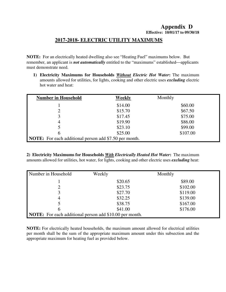### **Appendix D Effective: 10/01/17 to 09/30/18**

## **2017-2018- ELECTRIC UTILITY MAXIMUMS**

**NOTE:** For an electrically heated dwelling also see "Heating Fuel" maximums below. But remember, an applicant is *not automatically* entitled to the "maximums" established—applicants must demonstrate need.

**1) Electricity Maximums for Households** *Without Electric Hot Water***:** The maximum amounts allowed for utilities, for lights, cooking and other electric uses *excluding* electric hot water and heat:

| <b>Number in Household</b>                                    | Weekly  | Monthly  |
|---------------------------------------------------------------|---------|----------|
|                                                               | \$14.00 | \$60.00  |
|                                                               | \$15.70 | \$67.50  |
| 3                                                             | \$17.45 | \$75.00  |
| 4                                                             | \$19.90 | \$86.00  |
|                                                               | \$23.10 | \$99.00  |
| 6                                                             | \$25.00 | \$107.00 |
| <b>NOTE:</b> For each additional person add \$7.50 per month. |         |          |

**2) Electricity Maximums for Households** *With Electrically Heated Hot Water***:** The maximum amounts allowed for utilities, hot water, for lights, cooking and other electric uses *excluding* heat:

| Number in Household                                            | Weekly  | Monthly  |
|----------------------------------------------------------------|---------|----------|
|                                                                | \$20.65 | \$89.00  |
| ↑                                                              | \$23.75 | \$102.00 |
| 3                                                              | \$27.70 | \$119.00 |
| 4                                                              | \$32.25 | \$139.00 |
|                                                                | \$38.75 | \$167.00 |
| 6                                                              | \$41.00 | \$176.00 |
| <b>NOTE:</b> For each additional person add \$10.00 per month. |         |          |

**NOTE:** For electrically heated households, the maximum amount allowed for electrical utilities per month shall be the sum of the appropriate maximum amount under this subsection and the appropriate maximum for heating fuel as provided below.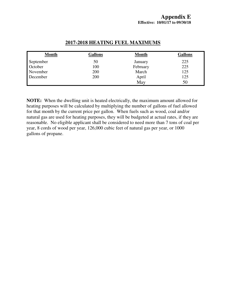| <b>Month</b> | Gallons | <b>Month</b> | <b>Gallons</b> |
|--------------|---------|--------------|----------------|
| September    | 50      | January      | 225            |
| October      | 100     | February     | 225            |
| November     | 200     | March        | 125            |
| December     | 200     | April        | 125            |
|              |         | May          | 50             |

## **2017-2018 HEATING FUEL MAXIMUMS**

**NOTE:** When the dwelling unit is heated electrically, the maximum amount allowed for heating purposes will be calculated by multiplying the number of gallons of fuel allowed for that month by the current price per gallon. When fuels such as wood, coal and/or natural gas are used for heating purposes, they will be budgeted at actual rates, if they are reasonable. No eligible applicant shall be considered to need more than 7 tons of coal per year, 8 cords of wood per year, 126,000 cubic feet of natural gas per year, or 1000 gallons of propane.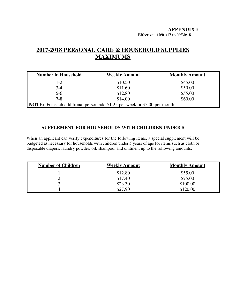#### **APPENDIX F Effective: 10/01/17 to 09/30/18**

## **2017-2018 PERSONAL CARE & HOUSEHOLD SUPPLIES MAXIMUMS**

| <b>Number in Household</b>                                                       | <b>Weekly Amount</b> | <b>Monthly Amount</b> |  |
|----------------------------------------------------------------------------------|----------------------|-----------------------|--|
| $1 - 2$                                                                          | \$10.50              | \$45.00               |  |
| $3 - 4$                                                                          | \$11.60              | \$50.00               |  |
| $5 - 6$                                                                          | \$12.80              | \$55.00               |  |
| $7 - 8$                                                                          | \$14.00              | \$60.00               |  |
| <b>NOTE:</b> For each additional person add \$1.25 per week or \$5.00 per month. |                      |                       |  |

### **SUPPLEMENT FOR HOUSEHOLDS WITH CHILDREN UNDER 5**

When an applicant can verify expenditures for the following items, a special supplement will be budgeted as necessary for households with children under 5 years of age for items such as cloth or disposable diapers, laundry powder, oil, shampoo, and ointment up to the following amounts:

| <b>Number of Children</b> | <b>Weekly Amount</b> | <b>Monthly Amount</b> |
|---------------------------|----------------------|-----------------------|
|                           | \$12.80              | \$55.00               |
| ∠                         | \$17.40              | \$75.00               |
|                           | \$23.30              | \$100.00              |
| 4                         | \$27.90              | \$120.00              |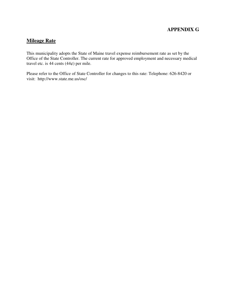## **APPENDIX G**

### **Mileage Rate**

This municipality adopts the State of Maine travel expense reimbursement rate as set by the Office of the State Controller. The current rate for approved employment and necessary medical travel etc. is 44 cents  $(44¢)$  per mile.

Please refer to the Office of State Controller for changes to this rate: Telephone: 626-8420 or visit: http://www.state.me.us/osc/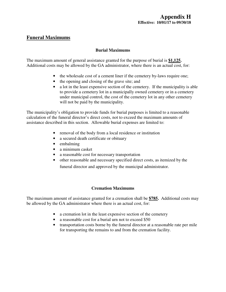## **Funeral Maximums**

#### **Burial Maximums**

The maximum amount of general assistance granted for the purpose of burial is **\$1,125.**  Additional costs may be allowed by the GA administrator, where there is an actual cost, for:

- the wholesale cost of a cement liner if the cemetery by-laws require one;
- the opening and closing of the grave site; and
- a lot in the least expensive section of the cemetery. If the municipality is able to provide a cemetery lot in a municipally owned cemetery or in a cemetery under municipal control, the cost of the cemetery lot in any other cemetery will not be paid by the municipality.

The municipality's obligation to provide funds for burial purposes is limited to a reasonable calculation of the funeral director's direct costs, not to exceed the maximum amounts of assistance described in this section. Allowable burial expenses are limited to:

- removal of the body from a local residence or institution
- a secured death certificate or obituary
- embalming
- a minimum casket
- a reasonable cost for necessary transportation
- other reasonable and necessary specified direct costs, as itemized by the funeral director and approved by the municipal administrator.

#### **Cremation Maximums**

The maximum amount of assistance granted for a cremation shall be **\$785.** Additional costs may be allowed by the GA administrator where there is an actual cost, for:

- a cremation lot in the least expensive section of the cemetery
- a reasonable cost for a burial urn not to exceed \$50
- transportation costs borne by the funeral director at a reasonable rate per mile for transporting the remains to and from the cremation facility.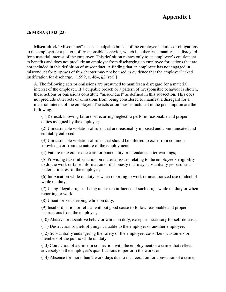# **Appendix I**

#### **26 MRSA §1043 (23)**

**Misconduct.** "Misconduct" means a culpable breach of the employee's duties or obligations to the employer or a pattern of irresponsible behavior, which in either case manifests a disregard for a material interest of the employer. This definition relates only to an employee's entitlement to benefits and does not preclude an employer from discharging an employee for actions that are not included in this definition of misconduct. A finding that an employee has not engaged in misconduct for purposes of this chapter may not be used as evidence that the employer lacked justification for discharge. [1999, c. 464, §2 (rpr).]

A. The following acts or omissions are presumed to manifest a disregard for a material interest of the employer. If a culpable breach or a pattern of irresponsible behavior is shown, these actions or omissions constitute "misconduct" as defined in this subsection. This does not preclude other acts or omissions from being considered to manifest a disregard for a material interest of the employer. The acts or omissions included in the presumption are the following:

(1) Refusal, knowing failure or recurring neglect to perform reasonable and proper duties assigned by the employer;

(2) Unreasonable violation of rules that are reasonably imposed and communicated and equitably enforced;

(3) Unreasonable violation of rules that should be inferred to exist from common knowledge or from the nature of the employment;

(4) Failure to exercise due care for punctuality or attendance after warnings;

(5) Providing false information on material issues relating to the employee's eligibility to do the work or false information or dishonesty that may substantially jeopardize a material interest of the employer;

(6) Intoxication while on duty or when reporting to work or unauthorized use of alcohol while on duty;

(7) Using illegal drugs or being under the influence of such drugs while on duty or when reporting to work;

(8) Unauthorized sleeping while on duty;

(9) Insubordination or refusal without good cause to follow reasonable and proper instructions from the employer;

(10) Abusive or assaultive behavior while on duty, except as necessary for self-defense;

(11) Destruction or theft of things valuable to the employer or another employee;

(12) Substantially endangering the safety of the employee, coworkers, customers or members of the public while on duty;

(13) Conviction of a crime in connection with the employment or a crime that reflects adversely on the employee's qualifications to perform the work; or

(14) Absence for more than 2 work days due to incarceration for conviction of a crime.